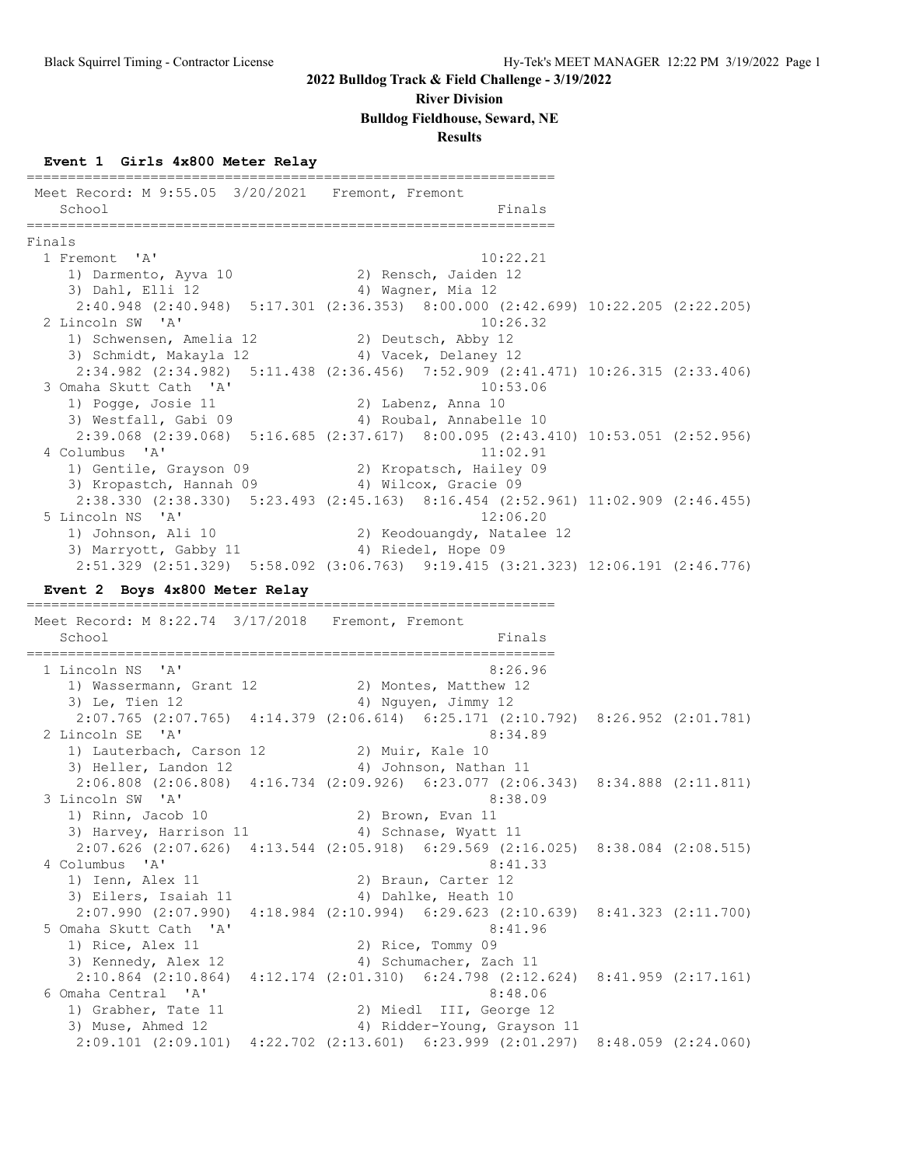#### **River Division**

#### **Bulldog Fieldhouse, Seward, NE**

#### **Results**

#### **Event 1 Girls 4x800 Meter Relay**

================================================================ Meet Record: M 9:55.05 3/20/2021 Fremont, Fremont School Finals ================================================================ Finals<br>1 Fremont 'A' 1 Fremont 'A' 10:22.21 1) Darmento, Ayva 10 12 2) Rensch, Jaiden 12 3) Dahl, Elli 12 4) Wagner, Mia 12 2:40.948 (2:40.948) 5:17.301 (2:36.353) 8:00.000 (2:42.699) 10:22.205 (2:22.205) 2 Lincoln SW 'A' 10:26.32 1) Schwensen, Amelia 12 2) Deutsch, Abby 12 3) Schmidt, Makayla 12 (4) Vacek, Delaney 12 2:34.982 (2:34.982) 5:11.438 (2:36.456) 7:52.909 (2:41.471) 10:26.315 (2:33.406) 3 Omaha Skutt Cath 'A' 10:53.06 1) Pogge, Josie 11 2) Labenz, Anna 10 3) Westfall, Gabi 09 4) Roubal, Annabelle 10 2:39.068 (2:39.068) 5:16.685 (2:37.617) 8:00.095 (2:43.410) 10:53.051 (2:52.956)<br>4 Columbus 'A' 11:02.91 4 Columbus 'A' 11:02.91 1) Gentile, Grayson 09 2) Kropatsch, Hailey 09 3) Kropastch, Hannah 09 4) Wilcox, Gracie 09 2:38.330 (2:38.330) 5:23.493 (2:45.163) 8:16.454 (2:52.961) 11:02.909 (2:46.455) 5 Lincoln NS 'A' 12:06.20 1) Johnson, Ali 10 2) Keodouangdy, Natalee 12 3) Marryott, Gabby 11 (4) Riedel, Hope 09 2:51.329 (2:51.329) 5:58.092 (3:06.763) 9:19.415 (3:21.323) 12:06.191 (2:46.776) **Event 2 Boys 4x800 Meter Relay** ================================================================ Meet Record: M 8:22.74 3/17/2018 Fremont, Fremont School Finals ================================================================ 1 Lincoln NS 'A' 8:26.96 1) Wassermann, Grant 12 2) Montes, Matthew 12 3) Le, Tien 12 and the same way and the set of the set of the set of the set of the set of the set of the set o 2:07.765 (2:07.765) 4:14.379 (2:06.614) 6:25.171 (2:10.792) 8:26.952 (2:01.781) 2 Lincoln SE 'A' 8:34.89 1) Lauterbach, Carson 12 (2) Muir, Kale 10 3) Heller, Landon 12 4) Johnson, Nathan 11 2:06.808 (2:06.808) 4:16.734 (2:09.926) 6:23.077 (2:06.343) 8:34.888 (2:11.811) 3 Lincoln SW 'A' 8:38.09<br>1) Rinn, Jacob 10 2) Brown, Evan 11 1) Rinn, Jacob 10 2) Brown, Evan 11 3) Harvey, Harrison 11 4) Schnase, Wyatt 11 2:07.626 (2:07.626) 4:13.544 (2:05.918) 6:29.569 (2:16.025) 8:38.084 (2:08.515) 4 Columbus 'A' 8:41.33 1) Ienn, Alex 11 2) Braun, Carter 12 3) Eilers, Isaiah 11  $\qquad \qquad$  4) Dahlke, Heath 10 2:07.990 (2:07.990) 4:18.984 (2:10.994) 6:29.623 (2:10.639) 8:41.323 (2:11.700) 5 Omaha Skutt Cath 'A' 8:41.96 1) Rice, Alex 11 2) Rice, Tommy 09 3) Kennedy, Alex 12 4) Schumacher, Zach 11 2:10.864 (2:10.864) 4:12.174 (2:01.310) 6:24.798 (2:12.624) 8:41.959 (2:17.161) 6 Omaha Central 'A' 8:48.06 1) Grabher, Tate 11 2) Miedl III, George 12 3) Muse, Ahmed 12 4) Ridder-Young, Grayson 11 2:09.101 (2:09.101) 4:22.702 (2:13.601) 6:23.999 (2:01.297) 8:48.059 (2:24.060)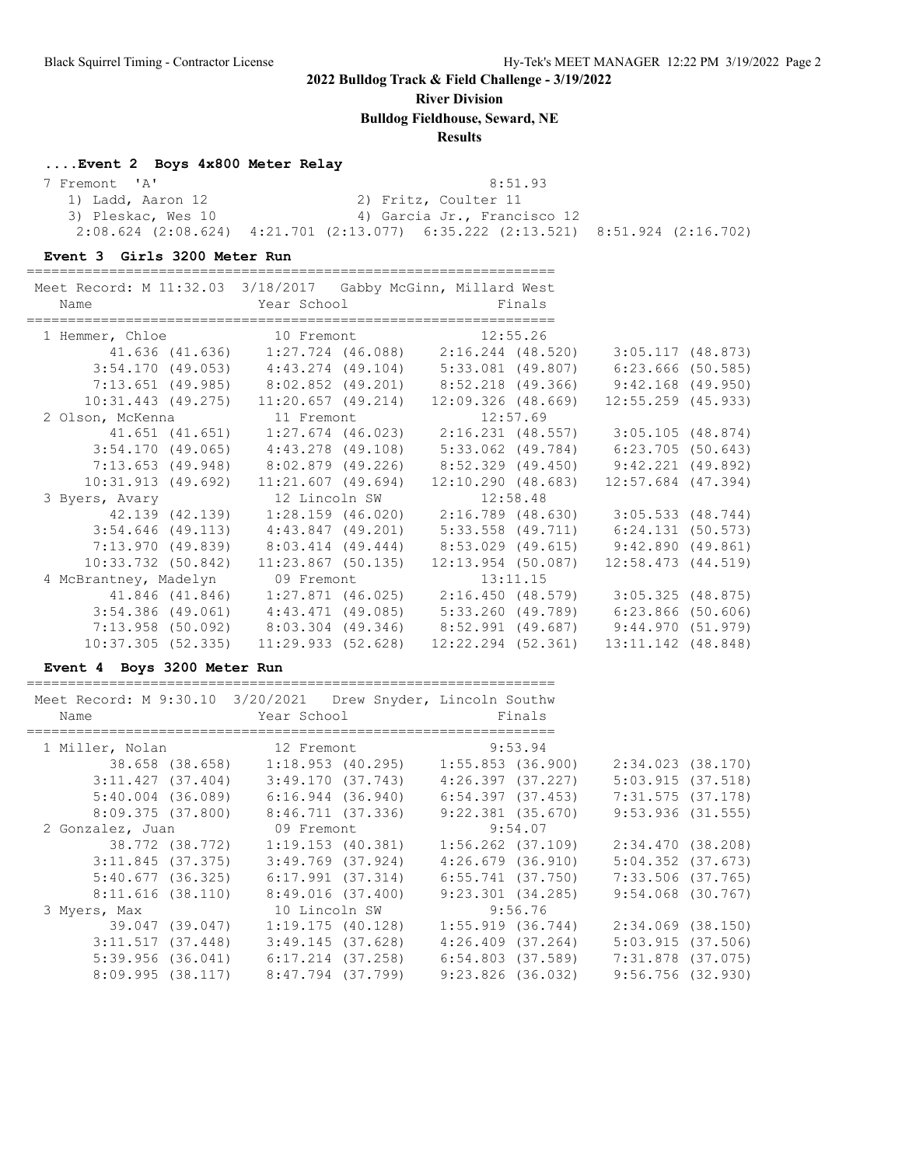**River Division**

**Bulldog Fieldhouse, Seward, NE**

### **Results**

#### **....Event 2 Boys 4x800 Meter Relay**

| 7 Fremont 'A'      | 8:51.93                                                                             |  |
|--------------------|-------------------------------------------------------------------------------------|--|
| 1) Ladd, Aaron 12  | 2) Fritz, Coulter 11                                                                |  |
| 3) Pleskac, Wes 10 | 4) Garcia Jr., Francisco 12                                                         |  |
|                    | $2:08.624$ (2:08.624) $4:21.701$ (2:13.077) 6:35.222 (2:13.521) 8:51.924 (2:16.702) |  |

#### **Event 3 Girls 3200 Meter Run**

| Meet Record: M 11:32.03 3/18/2017 Gabby McGinn, Millard West |                                                                                 |                        |                        |  |
|--------------------------------------------------------------|---------------------------------------------------------------------------------|------------------------|------------------------|--|
| Name                                                         | <b>Example 2</b> Year School <b>Example 2</b> School <b>Primals</b>             |                        |                        |  |
|                                                              |                                                                                 |                        |                        |  |
| 1 Hemmer, Chloe 10 Fremont 12:55.26                          |                                                                                 |                        |                        |  |
|                                                              | 41.636 (41.636) 1:27.724 (46.088) 2:16.244 (48.520)                             |                        | 3:05.117(48.873)       |  |
|                                                              | $3:54.170$ (49.053) $4:43.274$ (49.104) $5:33.081$ (49.807) $6:23.666$ (50.585) |                        |                        |  |
|                                                              | 7:13.651 (49.985) 8:02.852 (49.201) 8:52.218 (49.366) 9:42.168 (49.950)         |                        |                        |  |
|                                                              | $10:31.443$ (49.275) $11:20.657$ (49.214) $12:09.326$ (48.669)                  |                        | $12:55.259$ (45.933)   |  |
| 2 Olson, McKenna 11 Fremont 12:57.69                         |                                                                                 |                        |                        |  |
|                                                              |                                                                                 |                        | 3:05.105(48.874)       |  |
|                                                              | 3:54.170 (49.065) 4:43.278 (49.108) 5:33.062 (49.784) 6:23.705 (50.643)         |                        |                        |  |
|                                                              | 7:13.653 (49.948) 8:02.879 (49.226) 8:52.329 (49.450) 9:42.221 (49.892)         |                        |                        |  |
|                                                              | $10:31.913$ (49.692) $11:21.607$ (49.694) $12:10.290$ (48.683)                  |                        | $12:57.684$ (47.394)   |  |
| 3 Byers, Avary 12 Lincoln SW 12:58.48                        |                                                                                 |                        |                        |  |
|                                                              |                                                                                 |                        | 3:05.533(48.744)       |  |
|                                                              | $3:54.646$ (49.113) $4:43.847$ (49.201) $5:33.558$ (49.711)                     |                        | 6:24.131(50.573)       |  |
|                                                              | 7:13.970 (49.839) 8:03.414 (49.444) 8:53.029 (49.615) 9:42.890 (49.861)         |                        |                        |  |
|                                                              | $10:33.732$ (50.842) $11:23.867$ (50.135)                                       | $12:13.954$ (50.087)   | $12:58.473$ $(44.519)$ |  |
| 4 McBrantney, Madelyn 09 Fremont                             |                                                                                 | 13:11.15               |                        |  |
|                                                              | 41.846 (41.846) 1:27.871 (46.025) 2:16.450 (48.579)                             |                        | 3:05.325(48.875)       |  |
|                                                              | 3:54.386 (49.061) 4:43.471 (49.085) 5:33.260 (49.789) 6:23.866 (50.606)         |                        |                        |  |
|                                                              | 7:13.958 (50.092) 8:03.304 (49.346) 8:52.991 (49.687) 9:44.970 (51.979)         |                        |                        |  |
| $10:37.305$ (52.335)                                         | 11:29.933(52.628)                                                               | $12:22.294$ $(52.361)$ | 13:11.142 (48.848)     |  |

#### **Event 4 Boys 3200 Meter Run**

| Name                | Meet Record: M 9:30.10 3/20/2021 Drew Snyder, Lincoln Southw<br>Year School | Finals                |                       |
|---------------------|-----------------------------------------------------------------------------|-----------------------|-----------------------|
| 1 Miller, Nolan     | 12 Fremont                                                                  | 9:53.94               |                       |
| 38.658 (38.658)     | 1:18.953 (40.295)                                                           | 1:55.853 (36.900)     | $2:34.023$ $(38.170)$ |
| 3:11.427(37.404)    | 3:49.170 (37.743)                                                           | 4:26.397 (37.227)     | $5:03.915$ (37.518)   |
| $5:40.004$ (36.089) | $6:16.944$ (36.940)                                                         | 6:54.397 (37.453)     | $7:31.575$ (37.178)   |
| 8:09.375(37.800)    | 8:46.711 (37.336)                                                           | $9:22.381$ $(35.670)$ | $9:53.936$ (31.555)   |
| 2 Gonzalez, Juan    | 09 Fremont                                                                  | 9:54.07               |                       |
| 38.772 (38.772)     | $1:19.153$ (40.381)                                                         | $1:56.262$ (37.109)   | 2:34.470 (38.208)     |
| $3:11.845$ (37.375) | $3:49.769$ $(37.924)$                                                       | 4:26.679(36.910)      | $5:04.352$ $(37.673)$ |
| 5:40.677(36.325)    | $6:17.991$ (37.314)                                                         | $6:55.741$ (37.750)   | 7:33.506 (37.765)     |
| 8:11.616(38.110)    | 8:49.016 (37.400)                                                           | 9:23.301(34.285)      | $9:54.068$ (30.767)   |
| 3 Myers, Max        | 10 Lincoln SW                                                               | 9:56.76               |                       |
| 39.047 (39.047)     | 1:19.175(40.128)                                                            | $1:55.919$ (36.744)   | $2:34.069$ $(38.150)$ |
| 3:11.517(37.448)    | $3:49.145$ (37.628)                                                         | $4:26.409$ $(37.264)$ | $5:03.915$ (37.506)   |
| 5:39.956(36.041)    | 6:17.214 (37.258)                                                           | 6:54.803 (37.589)     | 7:31.878 (37.075)     |
| $8:09.995$ (38.117) | 8:47.794 (37.799)                                                           | $9:23.826$ (36.032)   | $9:56.756$ (32.930)   |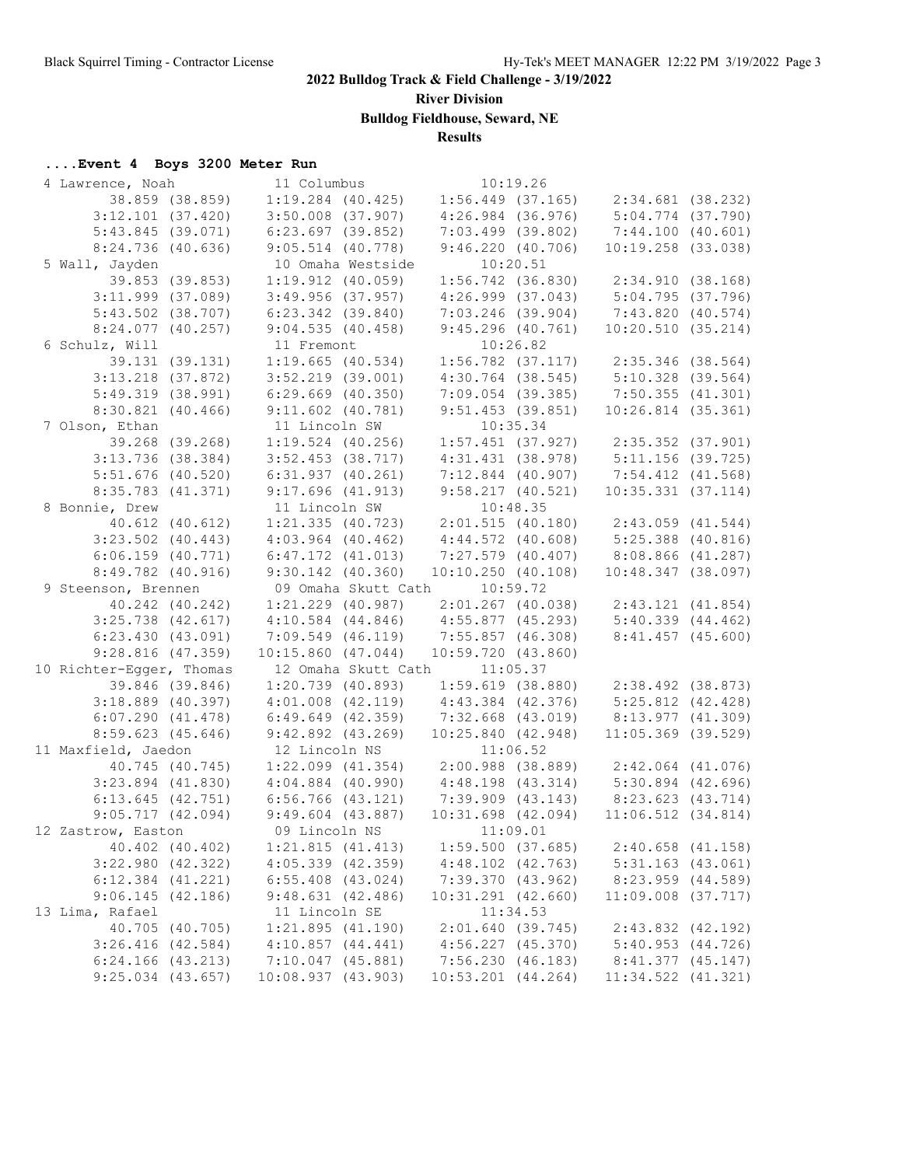**River Division**

**Bulldog Fieldhouse, Seward, NE**

#### **Results**

# **....Event 4 Boys 3200 Meter Run**

| 4 Lawrence, Noah         | 11 Columbus           |                        | 10:19.26                     |          |                                                                                    |  |
|--------------------------|-----------------------|------------------------|------------------------------|----------|------------------------------------------------------------------------------------|--|
| 38.859 (38.859)          |                       | $1:19.284$ (40.425)    |                              |          | $1:56.449$ (37.165) $2:34.681$ (38.232)                                            |  |
| $3:12.101$ (37.420)      |                       | $3:50.008$ $(37.907)$  | $4:26.984$ (36.976)          |          | $5:04.774$ (37.790)                                                                |  |
| 5:43.845(39.071)         |                       | $6:23.697$ (39.852)    | $7:03.499$ (39.802)          |          | 7:44.100(40.601)                                                                   |  |
| $8:24.736$ (40.636)      |                       | $9:05.514$ (40.778)    | 9:46.220(40.706)             |          | $10:19.258$ (33.038)                                                               |  |
| 5 Wall, Jayden           |                       | 10 Omaha Westside      |                              | 10:20.51 |                                                                                    |  |
| 39.853 (39.853)          |                       | $1:19.912$ $(40.059)$  |                              |          | $1:56.742$ (36.830) $2:34.910$ (38.168)                                            |  |
| $3:11.999$ $(37.089)$    |                       | $3:49.956$ (37.957)    |                              |          | 4:26.999 (37.043) 5:04.795 (37.796)                                                |  |
| $5:43.502$ (38.707)      | $6:23.342$ (39.840)   |                        | $7:03.246$ (39.904)          |          | 7:43.820 (40.574)                                                                  |  |
| $8:24.077$ $(40.257)$    |                       | 9:04.535(40.458)       | 9:45.296(40.761)             |          | 10:20.510(35.214)                                                                  |  |
| 6 Schulz, Will           | 11 Fremont            |                        |                              | 10:26.82 |                                                                                    |  |
| 39.131 (39.131)          |                       | $1:19.665$ (40.534)    |                              |          | $1:56.782$ (37.117) $2:35.346$ (38.564)                                            |  |
| $3:13.218$ (37.872)      |                       | $3:52.219$ (39.001)    |                              |          | 4:30.764 (38.545) 5:10.328 (39.564)                                                |  |
| 5:49.319(38.991)         |                       |                        |                              |          | $7:09.054$ (39.385) $7:50.355$ (41.301)                                            |  |
|                          | $6:29.669$ (40.350)   |                        |                              |          |                                                                                    |  |
| $8:30.821$ $(40.466)$    | $9:11.602$ (40.781)   |                        | 9:51.453(39.851)             |          | $10:26.814$ (35.361)                                                               |  |
| 7 Olson, Ethan           | 11 Lincoln SW         |                        |                              | 10:35.34 |                                                                                    |  |
| 39.268 (39.268)          |                       | $1:19.524$ (40.256)    |                              |          | $1:57.451$ (37.927) $2:35.352$ (37.901)<br>$4:31.431$ (38.978) $5:11.156$ (39.725) |  |
| $3:13.736$ (38.384)      |                       | $3:52.453$ (38.717)    |                              |          |                                                                                    |  |
| $5:51.676$ (40.520)      | $6:31.937$ $(40.261)$ |                        |                              |          | $7:12.844$ (40.907) $7:54.412$ (41.568)                                            |  |
| 8:35.783 (41.371)        | 9:17.696(41.913)      |                        | 9:58.217(40.521)             |          | $10:35.331$ $(37.114)$                                                             |  |
| 8 Bonnie, Drew           | 11 Lincoln SW         |                        |                              | 10:48.35 |                                                                                    |  |
| $40.612$ $(40.612)$      |                       |                        |                              |          | 1:21.335 (40.723) 2:01.515 (40.180) 2:43.059 (41.544)                              |  |
| $3:23.502$ (40.443)      |                       | $4:03.964$ $(40.462)$  |                              |          | $4:44.572$ (40.608) $5:25.388$ (40.816)                                            |  |
| $6:06.159$ $(40.771)$    |                       | $6:47.172$ $(41.013)$  |                              |          | $7:27.579$ (40.407) 8:08.866 (41.287)                                              |  |
| 8:49.782 (40.916)        |                       | $9:30.142$ $(40.360)$  | 10:10.250(40.108)            |          | $10:48.347$ (38.097)                                                               |  |
| 9 Steenson, Brennen      |                       |                        | 09 Omaha Skutt Cath 10:59.72 |          |                                                                                    |  |
| 40.242 (40.242)          |                       | $1:21.229$ (40.987)    |                              |          | $2:01.267$ (40.038) $2:43.121$ (41.854)                                            |  |
| $3:25.738$ (42.617)      |                       | $4:10.584$ $(44.846)$  | $4:55.877$ (45.293)          |          | 5:40.339(44.462)                                                                   |  |
| 6:23.430(43.091)         |                       | $7:09.549$ (46.119)    | 7:55.857 (46.308)            |          | $8:41.457$ (45.600)                                                                |  |
| $9:28.816$ (47.359)      |                       | $10:15.860$ $(47.044)$ | 10:59.720(43.860)            |          |                                                                                    |  |
| 10 Richter-Egger, Thomas |                       | 12 Omaha Skutt Cath    |                              | 11:05.37 |                                                                                    |  |
| 39.846 (39.846)          |                       | 1:20.739(40.893)       |                              |          | $1:59.619$ (38.880) $2:38.492$ (38.873)                                            |  |
| $3:18.889$ (40.397)      |                       | $4:01.008$ $(42.119)$  | $4:43.384$ $(42.376)$        |          | 5:25.812 (42.428)                                                                  |  |
| 6:07.290(41.478)         |                       | 6:49.649(42.359)       | $7:32.668$ $(43.019)$        |          | 8:13.977 (41.309)                                                                  |  |
| $8:59.623$ (45.646)      |                       | 9:42.892(43.269)       | 10:25.840(42.948)            |          | $11:05.369$ (39.529)                                                               |  |
| 11 Maxfield, Jaedon      | 12 Lincoln NS         |                        |                              | 11:06.52 |                                                                                    |  |
| 40.745 (40.745)          |                       |                        |                              |          | $1:22.099$ (41.354) $2:00.988$ (38.889) $2:42.064$ (41.076)                        |  |
| $3:23.894$ $(41.830)$    | $4:04.884$ (40.990)   |                        |                              |          | $4:48.198$ (43.314) $5:30.894$ (42.696)                                            |  |
| $6:13.645$ $(42.751)$    | 6:56.766 (43.121)     |                        |                              |          | 7:39.909 (43.143) 8:23.623 (43.714)                                                |  |
| 9:05.717(42.094)         |                       | $9:49.604$ (43.887)    | $10:31.698$ $(42.094)$       |          | $11:06.512$ $(34.814)$                                                             |  |
| 12 Zastrow, Easton       | 09 Lincoln NS         |                        | 11:09.01                     |          |                                                                                    |  |
| 40.402 (40.402)          |                       | 1:21.815(41.413)       | 1:59.500(37.685)             |          | $2:40.658$ $(41.158)$                                                              |  |
| $3:22.980$ (42.322)      |                       | $4:05.339$ $(42.359)$  | $4:48.102$ $(42.763)$        |          | $5:31.163$ (43.061)                                                                |  |
| $6:12.384$ $(41.221)$    |                       | $6:55.408$ $(43.024)$  | 7:39.370 (43.962)            |          | 8:23.959 (44.589)                                                                  |  |
| 9:06.145(42.186)         |                       | 9:48.631(42.486)       | $10:31.291$ $(42.660)$       |          | $11:09.008$ $(37.717)$                                                             |  |
| 13 Lima, Rafael          |                       | 11 Lincoln SE          |                              | 11:34.53 |                                                                                    |  |
| 40.705 (40.705)          |                       | 1:21.895(41.190)       | 2:01.640(39.745)             |          | 2:43.832 (42.192)                                                                  |  |
| $3:26.416$ $(42.584)$    |                       | $4:10.857$ $(44.441)$  | $4:56.227$ $(45.370)$        |          | 5:40.953(44.726)                                                                   |  |
| $6:24.166$ $(43.213)$    |                       | $7:10.047$ (45.881)    | 7:56.230(46.183)             |          | $8:41.377$ $(45.147)$                                                              |  |
| $9:25.034$ $(43.657)$    |                       | 10:08.937 (43.903)     | $10:53.201$ $(44.264)$       |          | 11:34.522 (41.321)                                                                 |  |
|                          |                       |                        |                              |          |                                                                                    |  |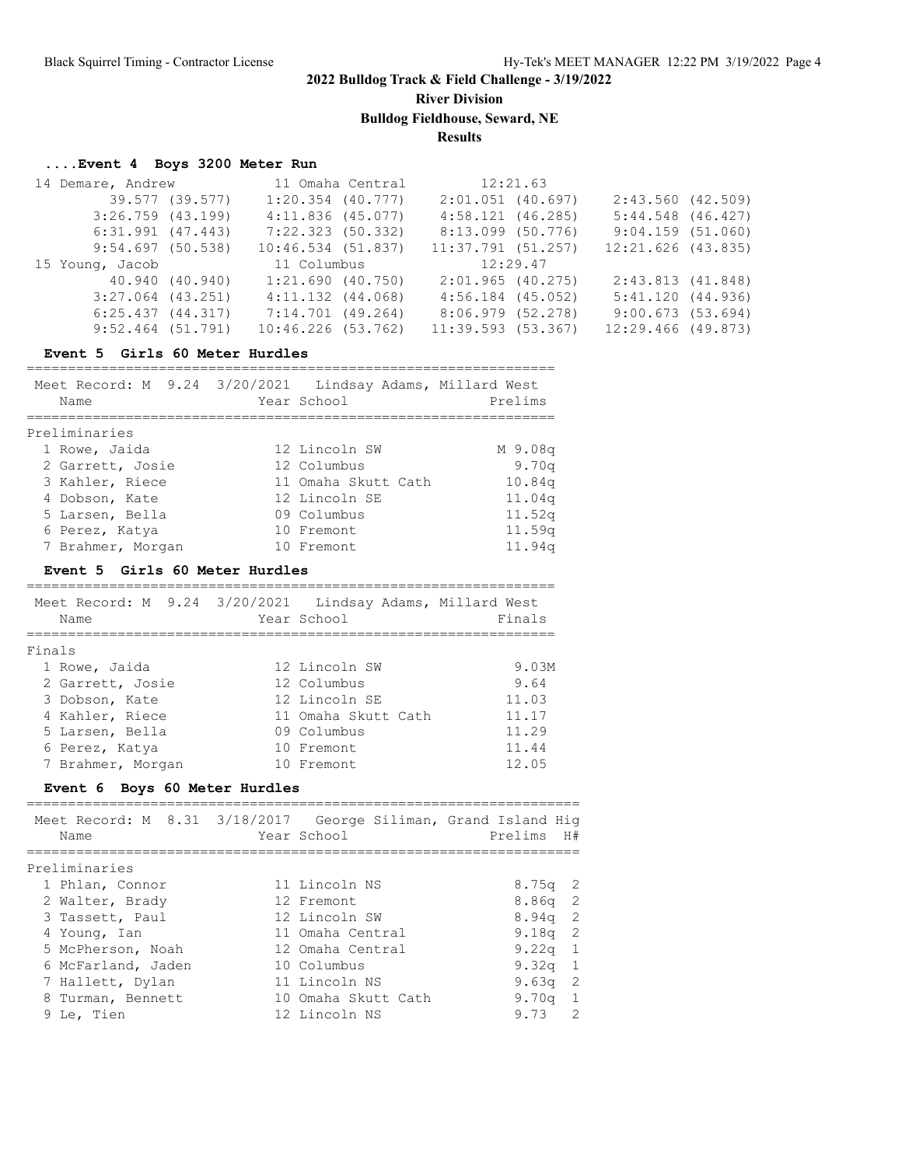**River Division**

**Bulldog Fieldhouse, Seward, NE**

**Results**

#### **....Event 4 Boys 3200 Meter Run**

| 14 Demare, Andrew     |                 |                       | 11 Omaha Central | 12:21.63            |                       |  |
|-----------------------|-----------------|-----------------------|------------------|---------------------|-----------------------|--|
|                       | 39.577 (39.577) | $1:20.354$ $(40.777)$ |                  | $2:01.051$ (40.697) | 2:43.560(42.509)      |  |
| $3:26.759$ $(43.199)$ |                 | $4:11.836$ (45.077)   |                  | $4:58.121$ (46.285) | $5:44.548$ $(46.427)$ |  |
| $6:31.991$ $(47.443)$ |                 | 7:22.323 (50.332)     |                  | 8:13.099 (50.776)   | 9:04.159(51.060)      |  |
| 9:54.697(50.538)      |                 | 10:46.534(51.837)     |                  | 11:37.791(51.257)   | $12:21.626$ (43.835)  |  |
|                       |                 |                       |                  |                     |                       |  |
| 15 Young, Jacob       |                 | 11 Columbus           |                  | 12:29.47            |                       |  |
|                       | 40.940 (40.940) | $1:21.690$ (40.750)   |                  | 2:01.965(40.275)    | 2:43.813(41.848)      |  |
| $3:27.064$ $(43.251)$ |                 | $4:11.132$ $(44.068)$ |                  | $4:56.184$ (45.052) | 5:41.120(44.936)      |  |
| 6:25.437(44.317)      |                 | 7:14.701 (49.264)     |                  | 8:06.979 (52.278)   | 9:00.673(53.694)      |  |

#### **Event 5 Girls 60 Meter Hurdles**

================================================================ Meet Record: M 9.24 3/20/2021 Lindsay Adams, Millard West Name Year School Prelims ================================================================ Preliminaries 1 Rowe, Jaida 12 Lincoln SW M 9.08q 2 Garrett, Josie 12 Columbus 9.70q 3 Kahler, Riece 11 Omaha Skutt Cath 10.84q 4 Dobson, Kate 12 Lincoln SE 11.04q 5 Larsen, Bella 09 Columbus 11.52q 6 Perez, Katya 10 Fremont 11.59q 7 Brahmer, Morgan 10 Fremont 11.94q

#### **Event 5 Girls 60 Meter Hurdles**

| Meet Record: M 9.24 3/20/2021 Lindsay Adams, Millard West<br>Name | Year School         | Finals |
|-------------------------------------------------------------------|---------------------|--------|
| Finals                                                            |                     |        |
| 1 Rowe, Jaida                                                     | 12 Lincoln SW       | 9.03M  |
| 2 Garrett, Josie                                                  | 12 Columbus         | 9.64   |
| 3 Dobson, Kate                                                    | 12 Lincoln SE       | 11.03  |
| 4 Kahler, Riece                                                   | 11 Omaha Skutt Cath | 11.17  |
| 5 Larsen, Bella                                                   | 09 Columbus         | 11.29  |
| 6 Perez, Katya                                                    | 10 Fremont          | 11.44  |
| 7 Brahmer, Morgan                                                 | 10 Fremont          | 12.05  |

#### **Event 6 Boys 60 Meter Hurdles**

| Meet Record: M 8.31 3/18/2017 George Siliman, Grand Island Hig<br>Name | Year School         | Prelims H#            |
|------------------------------------------------------------------------|---------------------|-----------------------|
| Preliminaries                                                          |                     |                       |
| 1 Phlan, Connor                                                        | 11 Lincoln NS       | $8.75q$ 2             |
| 2 Walter, Brady                                                        | 12 Fremont          | $8.86q$ 2             |
| 3 Tassett, Paul                                                        | 12 Lincoln SW       | $8.94q$ 2             |
| 4 Young, Ian                                                           | 11 Omaha Central    | $9.18q$ 2             |
| 5 McPherson, Noah                                                      | 12 Omaha Central    | $9.22q$ 1             |
| 6 McFarland, Jaden                                                     | 10 Columbus         | 9.32q 1               |
| 7 Hallett, Dylan                                                       | 11 Lincoln NS       | $9.63q$ 2             |
| 8 Turman, Bennett                                                      | 10 Omaha Skutt Cath | 9.70 $q$ 1            |
| 9 Le, Tien                                                             | 12 Lincoln NS       | $\mathcal{P}$<br>9.73 |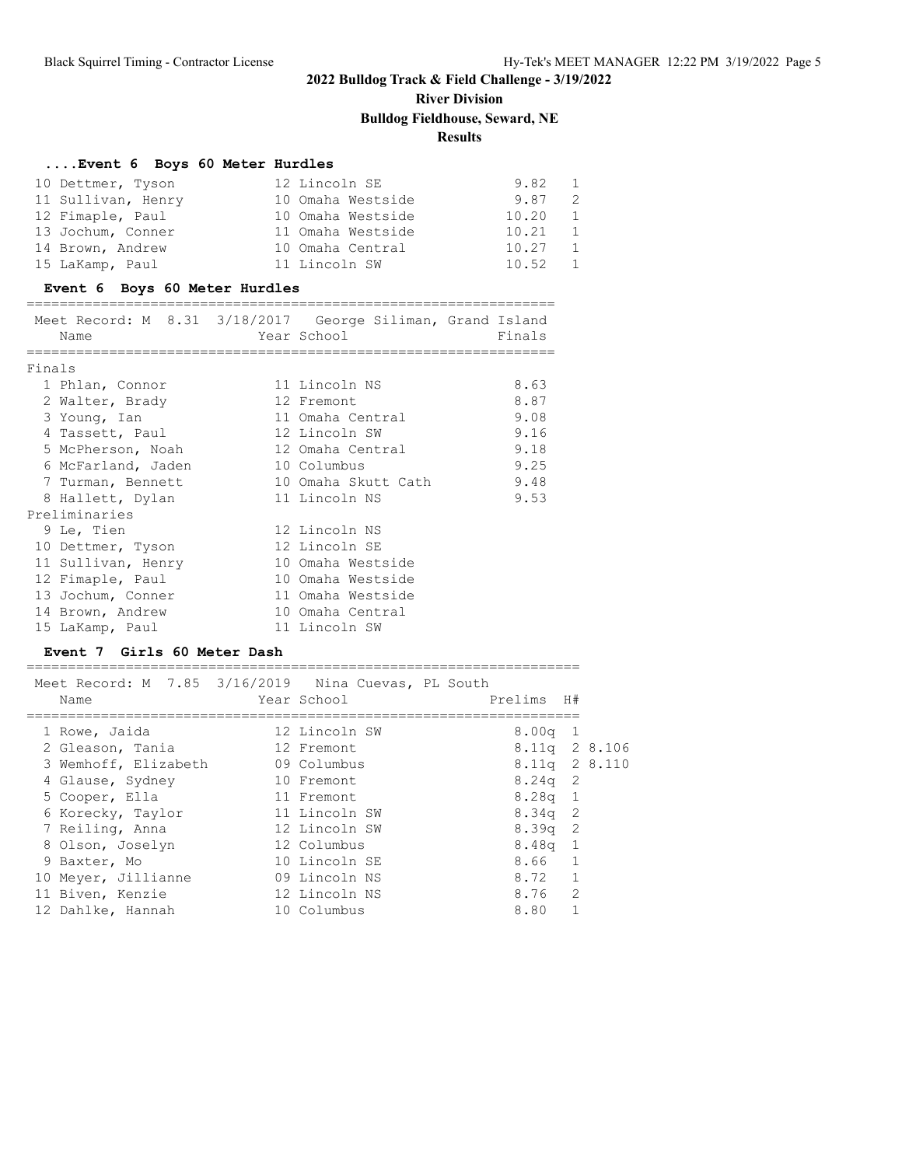# **River Division**

#### **Bulldog Fieldhouse, Seward, NE**

#### **Results**

#### **....Event 6 Boys 60 Meter Hurdles**

| 10 Dettmer, Tyson  | 12 Lincoln SE     | 9.82  | $\overline{1}$ |
|--------------------|-------------------|-------|----------------|
| 11 Sullivan, Henry | 10 Omaha Westside | 9.87  | -2             |
| 12 Fimaple, Paul   | 10 Omaha Westside | 10.20 | 1              |
| 13 Jochum, Conner  | 11 Omaha Westside | 10.21 | <sup>1</sup>   |
| 14 Brown, Andrew   | 10 Omaha Central  | 10.27 | 1              |
| 15 LaKamp, Paul    | 11 Lincoln SW     | 10.52 | $\overline{1}$ |

#### **Event 6 Boys 60 Meter Hurdles**

#### ================================================================ meet and the Cord Siliman, M 8.31 in 1980 of the Cord Islam Islam Islam Island Islam Islam Islam Islam Islam I<br>M 8.31 Silim Islam Islam Islam Islam Islam Islam Islam Islam Islam Islam Islam Islam Islam Islam Islam Islam I

|        | Meet Record: M 8.31 3/18/2017 George Siliman, Grand Island<br>Name | Year School         | Finals |
|--------|--------------------------------------------------------------------|---------------------|--------|
| Finals | ======================                                             |                     |        |
|        | 1 Phlan, Connor                                                    | 11 Lincoln NS       | 8.63   |
|        | 2 Walter, Brady                                                    | 12 Fremont          | 8.87   |
|        | 3 Young, Ian                                                       | 11 Omaha Central    | 9.08   |
|        | 4 Tassett, Paul                                                    | 12 Lincoln SW       | 9.16   |
|        | 5 McPherson, Noah                                                  | 12 Omaha Central    | 9.18   |
|        | 6 McFarland, Jaden 10 Columbus                                     |                     | 9.25   |
|        | 7 Turman, Bennett                                                  | 10 Omaha Skutt Cath | 9.48   |
|        | 8 Hallett, Dylan                                                   | 11 Lincoln NS       | 9.53   |
|        | Preliminaries                                                      |                     |        |
|        | 9 Le, Tien                                                         | 12 Lincoln NS       |        |
|        | 10 Dettmer, Tyson                                                  | 12 Lincoln SE       |        |
|        | 11 Sullivan, Henry                                                 | 10 Omaha Westside   |        |
|        | 12 Fimaple, Paul                                                   | 10 Omaha Westside   |        |
|        | 13 Jochum, Conner                                                  | 11 Omaha Westside   |        |
|        | 14 Brown, Andrew                                                   | 10 Omaha Central    |        |
|        | 15 LaKamp, Paul                                                    | 11 Lincoln SW       |        |

#### **Event 7 Girls 60 Meter Dash**

=================================================================== Meet Record: M 7.85 3/16/2019 Nina Cuevas, PL South Name Year School Prelims H# =================================================================== 1 Rowe, Jaida 12 Lincoln SW 8.00q 1 2 Gleason, Tania 12 Fremont 8.11q 2 8.106 3 Wemhoff, Elizabeth 09 Columbus 8.11q 2 8.110 4 Glause, Sydney 10 Fremont 8.24q 2 5 Cooper, Ella 11 Fremont 8.28q 1 6 Korecky, Taylor 11 Lincoln SW 8.34q 2 7 Reiling, Anna 12 Lincoln SW 8.39q 2 8 Olson, Joselyn 12 Columbus 8.48q 1 9 Baxter, Mo 10 Lincoln SE 8.66 1

10 Meyer, Jillianne and 09 Lincoln NS 8.72 1 11 Biven, Kenzie 12 Lincoln NS 8.76 2 12 Dahlke, Hannah 10 Columbus 8.80 1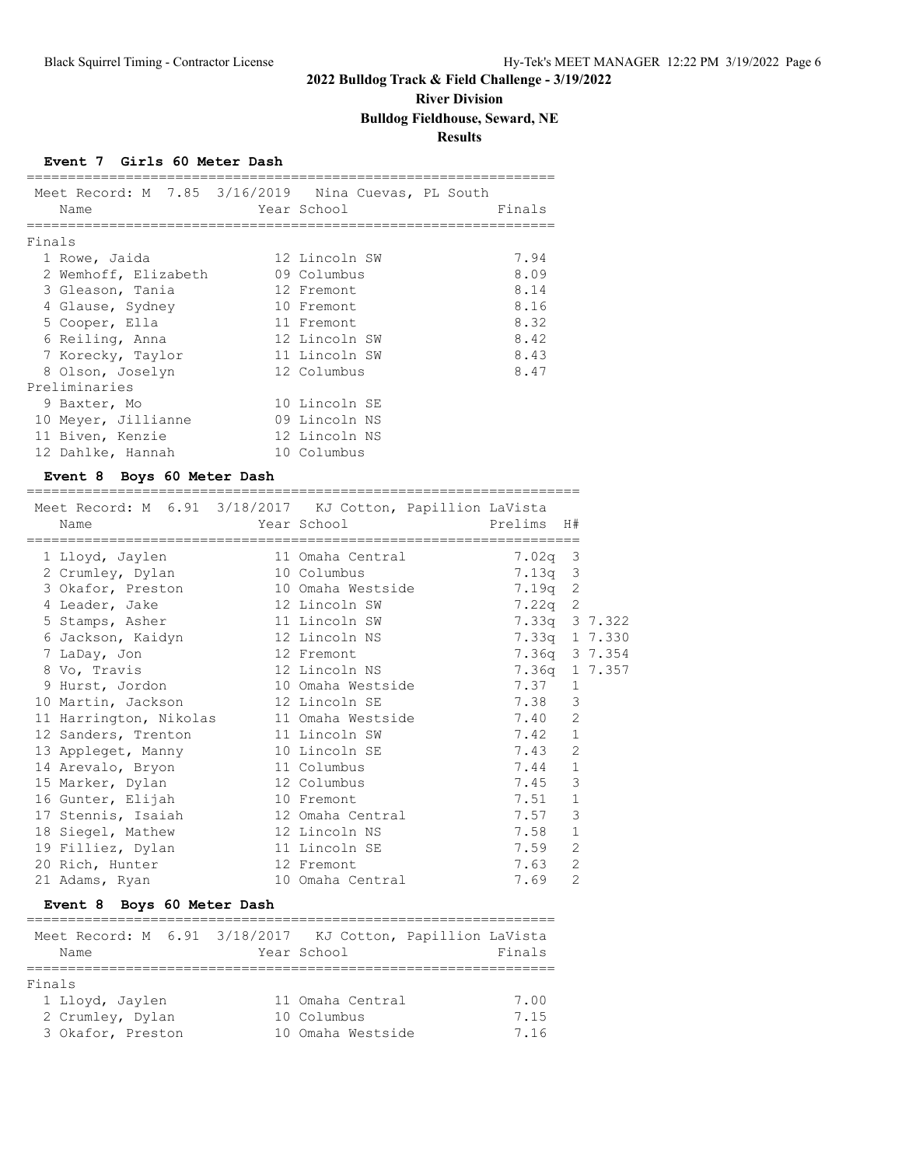### **River Division**

### **Bulldog Fieldhouse, Seward, NE**

**Results**

#### **Event 7 Girls 60 Meter Dash**

|        | Meet Record: M 7.85 3/16/2019 Nina Cuevas, PL South |               |        |
|--------|-----------------------------------------------------|---------------|--------|
|        | Name                                                | Year School   | Finals |
| Finals |                                                     |               |        |
|        |                                                     |               |        |
|        | 1 Rowe, Jaida                                       | 12 Lincoln SW | 7.94   |
|        | 2 Wemhoff, Elizabeth                                | 09 Columbus   | 8.09   |
|        | 3 Gleason, Tania                                    | 12 Fremont    | 8.14   |
|        | 4 Glause, Sydney                                    | 10 Fremont    | 8.16   |
|        | 5 Cooper, Ella                                      | 11 Fremont    | 8.32   |
|        | 6 Reiling, Anna                                     | 12 Lincoln SW | 8.42   |
|        | 7 Korecky, Taylor                                   | 11 Lincoln SW | 8.43   |
|        | 8 Olson, Joselyn                                    | 12 Columbus   | 8.47   |
|        | Preliminaries                                       |               |        |
|        | 9 Baxter, Mo                                        | 10 Lincoln SE |        |
|        | 10 Meyer, Jillianne                                 | 09 Lincoln NS |        |
|        | 11 Biven, Kenzie                                    | 12 Lincoln NS |        |
|        | 12 Dahlke, Hannah                                   | 10 Columbus   |        |

#### **Event 8 Boys 60 Meter Dash**

| Meet Record: M 6.91 3/18/2017 KJ Cotton, Papillion LaVista<br>Name |                          |               |                |  |
|--------------------------------------------------------------------|--------------------------|---------------|----------------|--|
| 1 Lloyd, Jaylen                                                    | 11 Omaha Central 7.02q 3 |               |                |  |
| 2 Crumley, Dylan 10 Columbus                                       |                          | $7.13q$ 3     |                |  |
| 3 Okafor, Preston 10 Omaha Westside                                |                          | $7.19q$ 2     |                |  |
| 4 Leader, Jake 12 Lincoln SW                                       |                          | $7.22q$ 2     |                |  |
| 5 Stamps, Asher 11 Lincoln SW                                      |                          | 7.33q 3 7.322 |                |  |
| 6 Jackson, Kaidyn 12 Lincoln NS                                    |                          | 7.33q 1 7.330 |                |  |
| 7 LaDay, Jon                                                       | 12 Fremont               | 7.36q 3 7.354 |                |  |
| 8 Vo, Travis                                                       | 12 Lincoln NS            | 7.36q 1 7.357 |                |  |
| 9 Hurst, Jordon 10 Omaha Westside                                  |                          | 7.37 1        |                |  |
| 10 Martin, Jackson 12 Lincoln SE                                   |                          | 7.38          | 3              |  |
| 11 Harrington, Nikolas 11 Omaha Westside                           |                          | 7.40          | 2              |  |
| 12 Sanders, Trenton 11 Lincoln SW                                  |                          | 7.42          | $\mathbf{1}$   |  |
| 13 Appleget, Manny 10 Lincoln SE                                   |                          | 7.43          | 2              |  |
| 14 Arevalo, Bryon 11 Columbus                                      |                          | 7.44          | $\mathbf{1}$   |  |
| 15 Marker, Dylan 12 Columbus                                       |                          | 7.45          | 3              |  |
| 16 Gunter, Elijah 10 Fremont                                       |                          | 7.51          | $\mathbf{1}$   |  |
| 17 Stennis, Isaiah 12 Omaha Central                                |                          | 7.57          | 3              |  |
| 18 Siegel, Mathew                                                  | 12 Lincoln NS            | 7.58          | $\mathbf{1}$   |  |
| 19 Filliez, Dylan                                                  | 11 Lincoln SE            | 7.59          | 2              |  |
| 12 Fremont<br>20 Rich, Hunter                                      |                          | 7.63          | $\overline{2}$ |  |
| 21 Adams, Ryan                                                     | 10 Omaha Central         | 7.69          | $\overline{2}$ |  |

#### **Event 8 Boys 60 Meter Dash**

| Name              | Meet Record: M 6.91 3/18/2017 KJ Cotton, Papillion LaVista<br>Year School | Finals |
|-------------------|---------------------------------------------------------------------------|--------|
|                   |                                                                           |        |
| Finals            |                                                                           |        |
| 1 Lloyd, Jaylen   | 11 Omaha Central                                                          | 7.00   |
| 2 Crumley, Dylan  | 10 Columbus                                                               | 7.15   |
| 3 Okafor, Preston | 10 Omaha Westside                                                         | 7.16   |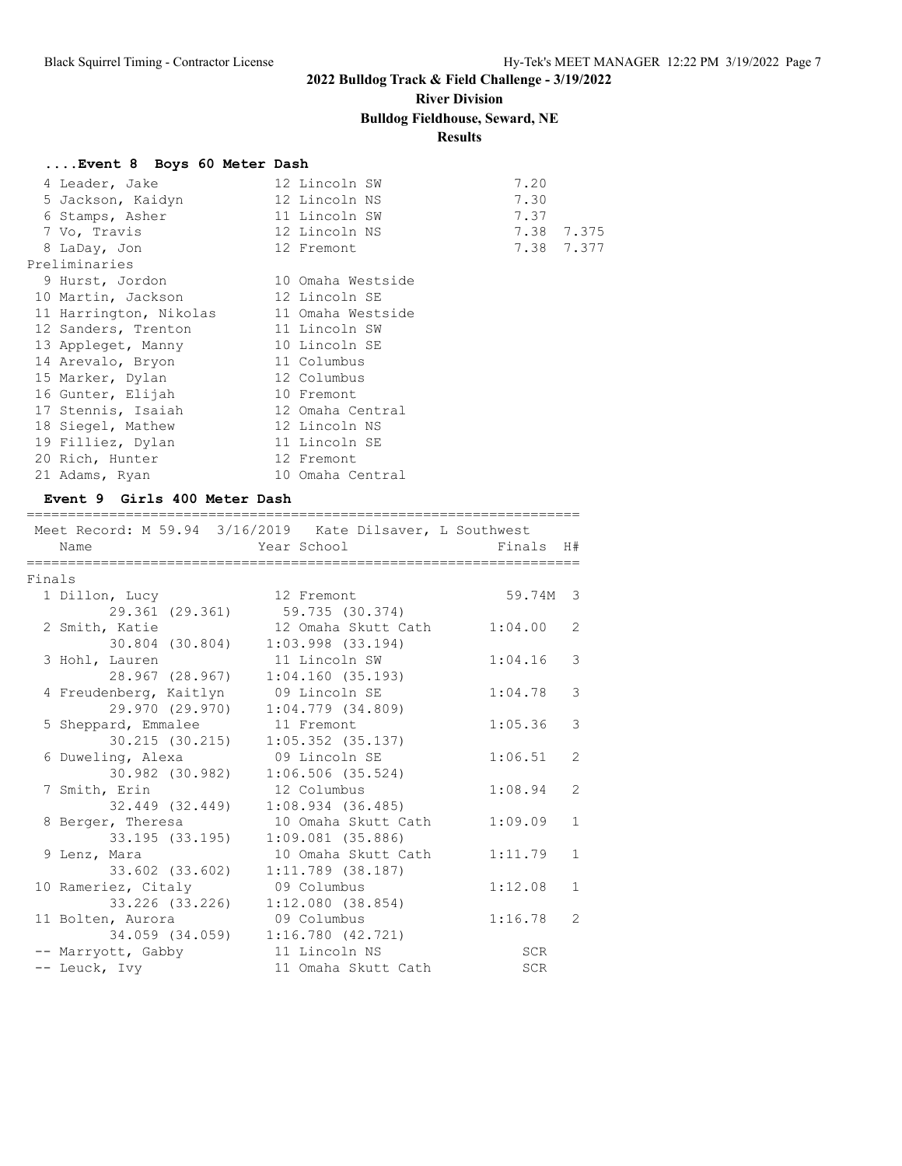# **River Division**

**Bulldog Fieldhouse, Seward, NE**

### **Results**

#### **....Event 8 Boys 60 Meter Dash**

| 4 Leader, Jake         | 12 Lincoln SW     | 7.20 |            |
|------------------------|-------------------|------|------------|
| 5 Jackson, Kaidyn      | 12 Lincoln NS     | 7.30 |            |
| 6 Stamps, Asher        | 11 Lincoln SW     | 7.37 |            |
| 7 Vo, Travis           | 12 Lincoln NS     |      | 7.38 7.375 |
| 8 LaDay, Jon           | 12 Fremont        |      | 7.38 7.377 |
| Preliminaries          |                   |      |            |
| 9 Hurst, Jordon        | 10 Omaha Westside |      |            |
| 10 Martin, Jackson     | 12 Lincoln SE     |      |            |
| 11 Harrington, Nikolas | 11 Omaha Westside |      |            |
| 12 Sanders, Trenton    | 11 Lincoln SW     |      |            |
| 13 Appleget, Manny     | 10 Lincoln SE     |      |            |
| 14 Arevalo, Bryon      | 11 Columbus       |      |            |
| 15 Marker, Dylan       | 12 Columbus       |      |            |
| 16 Gunter, Elijah      | 10 Fremont        |      |            |
| 17 Stennis, Isaiah     | 12 Omaha Central  |      |            |
| 18 Siegel, Mathew      | 12 Lincoln NS     |      |            |
| 19 Filliez, Dylan      | 11 Lincoln SE     |      |            |
| 20 Rich, Hunter        | 12 Fremont        |      |            |
| 21 Adams, Ryan         | 10 Omaha Central  |      |            |

### **Event 9 Girls 400 Meter Dash**

===================================================================

|        |                        | Meet Record: M 59.94 3/16/2019 Kate Dilsaver, L Southwest |            |                |
|--------|------------------------|-----------------------------------------------------------|------------|----------------|
|        | Name                   | Year School                                               | Finals H#  |                |
| Finals |                        |                                                           |            |                |
|        | 1 Dillon, Lucy         | 12 Fremont                                                | 59.74M 3   |                |
|        | 29.361 (29.361)        | 59.735 (30.374)                                           |            |                |
|        | 2 Smith, Katie         | 12 Omaha Skutt Cath                                       | 1:04.00    | $\overline{2}$ |
|        | 30.804 (30.804)        | $1:03.998$ $(33.194)$                                     |            |                |
|        | 3 Hohl, Lauren         | 11 Lincoln SW                                             | 1:04.16    | 3              |
|        | 28.967 (28.967)        | 1:04.160(35.193)                                          |            |                |
|        | 4 Freudenberg, Kaitlyn | 09 Lincoln SE                                             | 1:04.78    | 3              |
|        | 29.970 (29.970)        | $1:04.779$ $(34.809)$                                     |            |                |
|        | 5 Sheppard, Emmalee    | 11 Fremont                                                | 1:05.36    | 3              |
|        | 30.215 (30.215)        | $1:05.352$ (35.137)                                       |            |                |
|        | 6 Duweling, Alexa      | 09 Lincoln SE                                             | 1:06.51    | $\overline{2}$ |
|        | 30.982 (30.982)        | 1:06.506(35.524)                                          |            |                |
|        | 7 Smith, Erin          | 12 Columbus                                               | 1:08.94    | $\overline{2}$ |
|        | 32.449 (32.449)        | $1:08.934$ $(36.485)$                                     |            |                |
|        | 8 Berger, Theresa      | 10 Omaha Skutt Cath                                       | 1:09.09    | $\mathbf{1}$   |
|        | 33.195 (33.195)        | $1:09.081$ (35.886)                                       |            |                |
|        | 9 Lenz, Mara           | 10 Omaha Skutt Cath                                       | 1:11.79    | $\mathbf{1}$   |
|        | 33.602 (33.602)        | $1:11.789$ (38.187)                                       |            |                |
|        | 10 Rameriez, Citaly    | 09 Columbus                                               | 1:12.08    | $\mathbf{1}$   |
|        | 33.226 (33.226)        | 1:12.080(38.854)                                          |            |                |
|        | 11 Bolten, Aurora      | 09 Columbus                                               | 1:16.78    | 2              |
|        | 34.059 (34.059)        | 1:16.780(42.721)                                          |            |                |
|        | -- Marryott, Gabby     | 11 Lincoln NS                                             | SCR        |                |
|        | -- Leuck, Ivy          | 11 Omaha Skutt Cath                                       | <b>SCR</b> |                |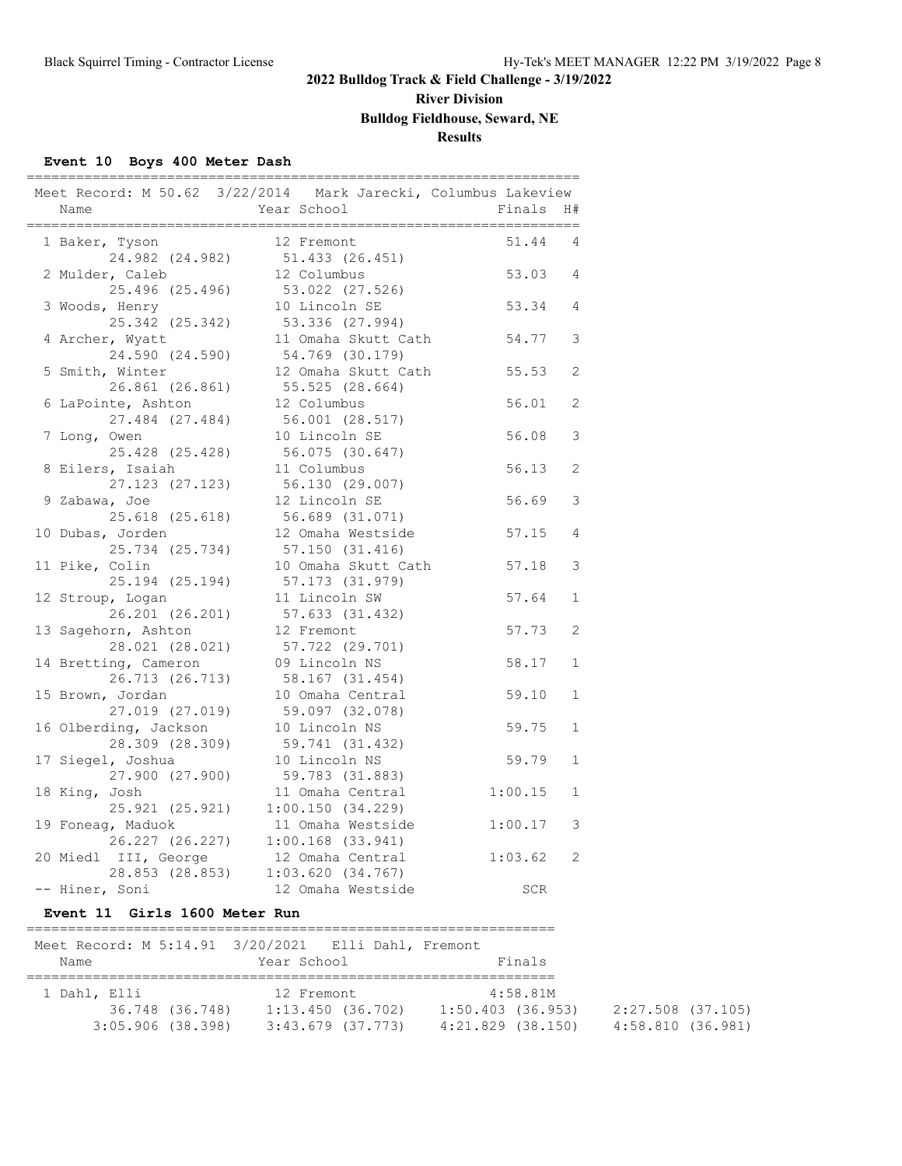# **River Division**

### **Bulldog Fieldhouse, Seward, NE**

### **Results**

#### **Event 10 Boys 400 Meter Dash**

|                       | Meet Record: M 50.62 3/22/2014 Mark Jarecki, Columbus Lakeview |            |                       |
|-----------------------|----------------------------------------------------------------|------------|-----------------------|
| Name                  | Year School                                                    | Finals H#  |                       |
| 1 Baker, Tyson        | 12 Fremont                                                     | 51.44      | 4                     |
| 24.982 (24.982)       | 51.433 (26.451)                                                |            |                       |
| 2 Mulder, Caleb       | 12 Columbus                                                    | 53.03      | 4                     |
| 25.496 (25.496)       | 53.022 (27.526)                                                |            |                       |
| 3 Woods, Henry        | 10 Lincoln SE                                                  | 53.34      | 4                     |
| 25.342 (25.342)       | 53.336 (27.994)                                                |            |                       |
| 4 Archer, Wyatt       | 11 Omaha Skutt Cath                                            | 54.77      | 3                     |
| 24.590 (24.590)       | 54.769 (30.179)                                                |            |                       |
| 5 Smith, Winter       | 12 Omaha Skutt Cath                                            | 55.53      | 2                     |
| 26.861 (26.861)       | 55.525 (28.664)                                                |            |                       |
| 6 LaPointe, Ashton    | 12 Columbus                                                    | 56.01      | 2                     |
| 27.484 (27.484)       | 56.001 (28.517)                                                |            |                       |
| 7 Long, Owen          | 10 Lincoln SE                                                  | 56.08      | 3                     |
| 25.428 (25.428)       | 56.075 (30.647)                                                |            |                       |
| 8 Eilers, Isaiah      | 11 Columbus                                                    | 56.13      | $\overline{2}$        |
| 27.123 (27.123)       | 56.130 (29.007)                                                |            |                       |
| 9 Zabawa, Joe         | 12 Lincoln SE                                                  | 56.69      | 3                     |
| 25.618 (25.618)       | 56.689 (31.071)                                                |            |                       |
| 10 Dubas, Jorden      | 12 Omaha Westside                                              | 57.15      | $\overline{4}$        |
| 25.734 (25.734)       | 57.150 (31.416)                                                |            |                       |
| 11 Pike, Colin        | 10 Omaha Skutt Cath                                            | 57.18      | 3                     |
| 25.194 (25.194)       | 57.173 (31.979)                                                |            |                       |
| 12 Stroup, Logan      | 11 Lincoln SW                                                  | 57.64      | $\mathbf 1$           |
| 26.201 (26.201)       | 57.633 (31.432)                                                |            |                       |
| 13 Sagehorn, Ashton   | 12 Fremont                                                     | 57.73      | $\mathbf{2}^{\prime}$ |
| 28.021 (28.021)       | 57.722 (29.701)                                                |            |                       |
| 14 Bretting, Cameron  | 09 Lincoln NS                                                  | 58.17      | $\mathbf 1$           |
| 26.713 (26.713)       | 58.167 (31.454)                                                |            |                       |
| 15 Brown, Jordan      | 10 Omaha Central                                               | 59.10      | $\mathbf 1$           |
| 27.019 (27.019)       | 59.097 (32.078)                                                |            |                       |
| 16 Olberding, Jackson | 10 Lincoln NS                                                  | 59.75      | $\mathbf{1}$          |
| 28.309 (28.309)       | 59.741 (31.432)                                                |            |                       |
| 17 Siegel, Joshua     | 10 Lincoln NS                                                  | 59.79      | $\mathbf{1}$          |
| 27.900 (27.900)       | 59.783 (31.883)                                                |            |                       |
| 18 King, Josh         | 11 Omaha Central                                               | 1:00.15    | $\mathbf 1$           |
| 25.921 (25.921)       | 1:00.150(34.229)                                               |            |                       |
| 19 Foneag, Maduok     | 11 Omaha Westside                                              | 1:00.17    | 3                     |
| 26.227 (26.227)       | $1:00.168$ (33.941)                                            |            |                       |
| 20 Miedl III, George  | 12 Omaha Central                                               | 1:03.62    | 2                     |
| 28.853 (28.853)       | 1:03.620(34.767)                                               |            |                       |
| -- Hiner, Soni        | 12 Omaha Westside                                              | <b>SCR</b> |                       |

================================================================

#### **Event 11 Girls 1600 Meter Run**

| Meet Record: M 5:14.91 3/20/2021 Elli Dahl, Fremont |                 |                   |  |                       |                   |  |
|-----------------------------------------------------|-----------------|-------------------|--|-----------------------|-------------------|--|
| Name                                                |                 | Year School       |  | Finals                |                   |  |
|                                                     |                 |                   |  |                       |                   |  |
| 1 Dahl, Elli                                        |                 | 12 Fremont        |  | 4:58.81M              |                   |  |
|                                                     | 36.748 (36.748) | 1:13.450(36.702)  |  | $1:50.403$ (36.953)   | 2:27.508 (37.105) |  |
| $3:05.906$ (38.398)                                 |                 | 3:43.679 (37.773) |  | $4:21.829$ $(38.150)$ | 4:58.810 (36.981) |  |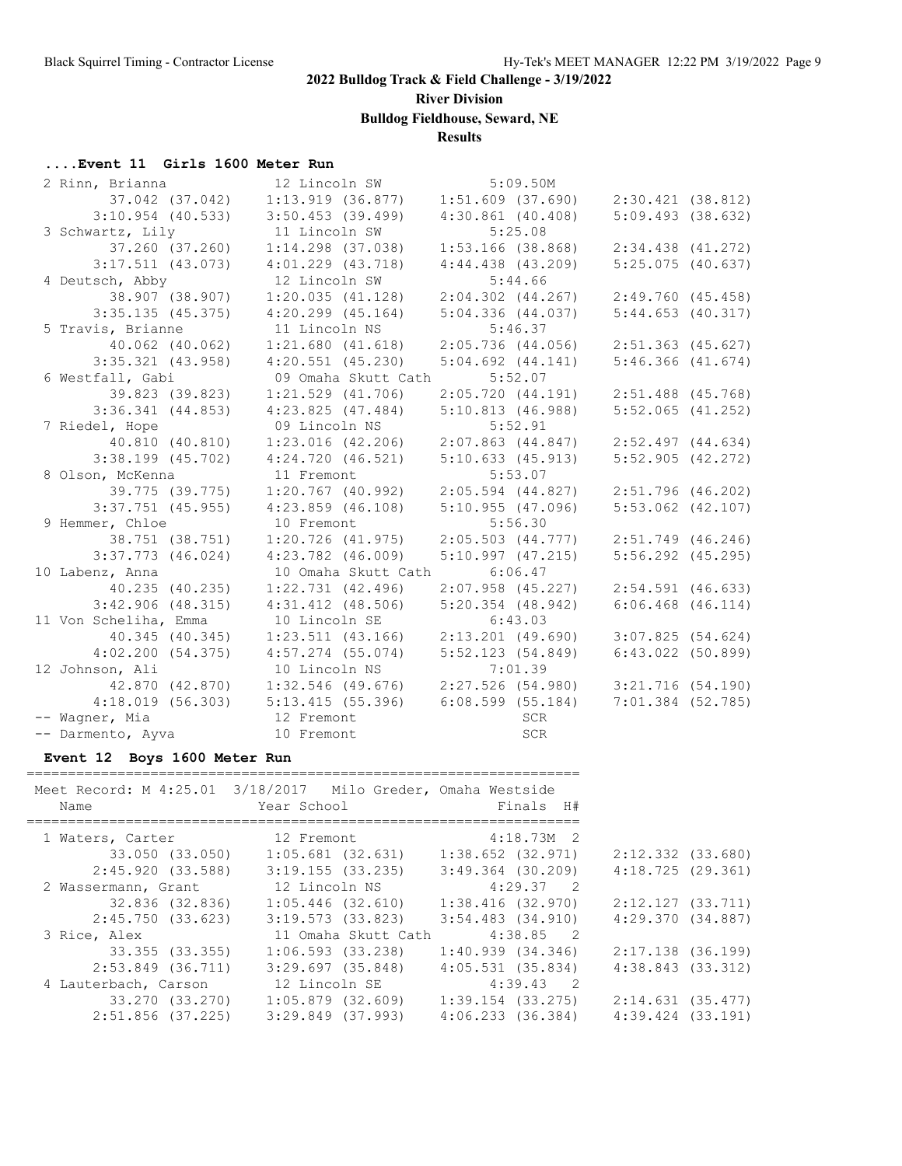**River Division**

**Bulldog Fieldhouse, Seward, NE**

### **Results**

#### **....Event 11 Girls 1600 Meter Run**

| 2 Rinn, Brianna       | 12 Lincoln SW                                       | 5:09.50M              |                       |
|-----------------------|-----------------------------------------------------|-----------------------|-----------------------|
| 37.042 (37.042)       | $1:13.919$ (36.877)                                 | $1:51.609$ (37.690)   | 2:30.421 (38.812)     |
| $3:10.954$ (40.533)   | $3:50.453$ (39.499)                                 | $4:30.861$ $(40.408)$ | $5:09.493$ (38.632)   |
| 3 Schwartz, Lily      | 11 Lincoln SW                                       | 5:25.08               |                       |
| 37.260 (37.260)       | $1:14.298$ (37.038)                                 | $1:53.166$ (38.868)   | $2:34.438$ $(41.272)$ |
| $3:17.511$ (43.073)   | $4:01.229$ $(43.718)$                               | $4:44.438$ $(43.209)$ | $5:25.075$ (40.637)   |
| 4 Deutsch, Abby       | 12 Lincoln SW                                       | 5:44.66               |                       |
| 38.907 (38.907)       | 1:20.035(41.128)                                    | $2:04.302$ $(44.267)$ | 2:49.760 (45.458)     |
| 3:35.135(45.375)      | $4:20.299$ $(45.164)$                               | 5:04.336(44.037)      | 5:44.653(40.317)      |
| 5 Travis, Brianne     | 11 Lincoln NS                                       | 5:46.37               |                       |
| 40.062 (40.062)       | 1:21.680(41.618)                                    | $2:05.736$ (44.056)   | 2:51.363 (45.627)     |
| $3:35.321$ $(43.958)$ | $4:20.551$ $(45.230)$                               | $5:04.692$ $(44.141)$ | $5:46.366$ $(41.674)$ |
| 6 Westfall, Gabi      | 09 Omaha Skutt Cath                                 | 5:52.07               |                       |
| 39.823 (39.823)       | $1:21.529$ $(41.706)$                               | 2:05.720(44.191)      | $2:51.488$ (45.768)   |
| $3:36.341$ $(44.853)$ | 4:23.825(47.484)                                    | 5:10.813(46.988)      | $5:52.065$ $(41.252)$ |
| 7 Riedel, Hope        | 09 Lincoln NS                                       | 5:52.91               |                       |
| 40.810 (40.810)       | $1:23.016$ $(42.206)$                               | $2:07.863$ $(44.847)$ | $2:52.497$ $(44.634)$ |
| $3:38.199$ $(45.702)$ | 4:24.720(46.521)                                    | 5:10.633(45.913)      | $5:52.905$ $(42.272)$ |
| 8 Olson, McKenna      | 11 Fremont                                          | 5:53.07               |                       |
| 39.775 (39.775)       | $1:20.767$ (40.992)                                 | 2:05.594 (44.827)     | $2:51.796$ (46.202)   |
| $3:37.751$ (45.955)   | $4:23.859$ $(46.108)$                               | 5:10.955(47.096)      | $5:53.062$ $(42.107)$ |
| 9 Hemmer, Chloe       | 10 Fremont                                          | 5:56.30               |                       |
| 38.751 (38.751)       | $1:20.726$ (41.975)                                 | 2:05.503(44.777)      | 2:51.749 (46.246)     |
| $3:37.773$ $(46.024)$ | $4:23.782$ $(46.009)$                               | 5:10.997(47.215)      | $5:56.292$ $(45.295)$ |
| 10 Labenz, Anna       | 10 Omaha Skutt Cath                                 | 6:06.47               |                       |
| 40.235 (40.235)       | $1:22.731$ $(42.496)$                               | $2:07.958$ (45.227)   | $2:54.591$ (46.633)   |
| $3:42.906$ (48.315)   | $4:31.412$ $(48.506)$                               | $5:20.354$ (48.942)   | $6:06.468$ $(46.114)$ |
| 11 Von Scheliha, Emma | 10 Lincoln SE                                       | 6:43.03               |                       |
| 40.345 (40.345)       | $1:23.511$ (43.166)                                 | $2:13.201$ (49.690)   | 3:07.825(54.624)      |
| 4:02.200(54.375)      | $4:57.274$ (55.074)                                 | 5:52.123(54.849)      | $6:43.022$ (50.899)   |
| 12 Johnson, Ali       | 10 Lincoln NS                                       | 7:01.39               |                       |
|                       | 42.870 (42.870) 1:32.546 (49.676) 2:27.526 (54.980) |                       | 3:21.716(54.190)      |
|                       | $4:18.019$ (56.303) $5:13.415$ (55.396)             | $6:08.599$ (55.184)   | $7:01.384$ (52.785)   |
| -- Wagner, Mia        | 12 Fremont                                          | SCR                   |                       |
| -- Darmento, Ayva     | 10 Fremont                                          | SCR                   |                       |

#### **Event 12 Boys 1600 Meter Run**

|                      | Meet Record: M 4:25.01 3/18/2017 Milo Greder, Omaha Westside |                       |
|----------------------|--------------------------------------------------------------|-----------------------|
| Name                 | Year School                                                  | Finals H#             |
|                      |                                                              |                       |
|                      | 1 Waters, Carter 12 Fremont                                  | $4:18.73M$ 2          |
| 33.050 (33.050)      | 1:05.681 (32.631)                                            | $1:38.652$ (32.971)   |
| 2:45.920 (33.588)    | $3:19.155$ (33.235)                                          | $3:49.364$ (30.209)   |
| 2 Wassermann, Grant  | 12 Lincoln NS                                                | $4:29.37$ 2           |
| 32.836 (32.836)      | $1:05.446$ (32.610)                                          | 1:38.416(32.970)      |
| 2:45.750 (33.623)    | 3:19.573(33.823)                                             | $3:54.483$ $(34.910)$ |
| 3 Rice, Alex         | 11 Omaha Skutt Cath                                          | $4:38.85$ 2           |
| 33.355 (33.355)      | 1:06.593(33.238)                                             | 1:40.939(34.346)      |
| 2:53.849 (36.711)    | 3:29.697(35.848)                                             | $4:05.531$ $(35.834)$ |
| 4 Lauterbach, Carson | 12 Lincoln SE                                                | $4:39.43$ 2           |
| 33.270 (33.270)      | 1:05.879 (32.609)                                            | 1:39.154 (33.275)     |
| 2:51.856 (37.225)    | $3:29.849$ $(37.993)$                                        | $4:06.233$ $(36.384)$ |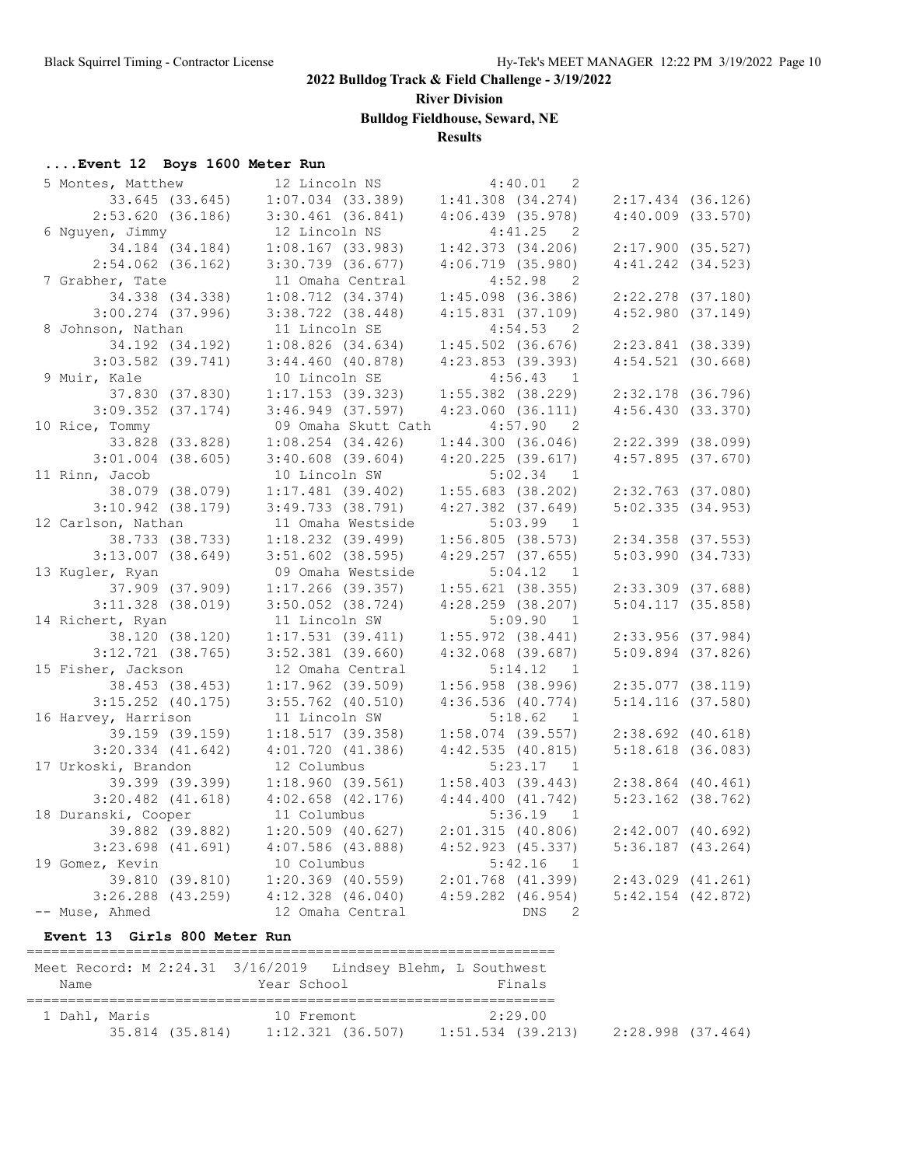**River Division**

**Bulldog Fieldhouse, Seward, NE**

### **Results**

### **....Event 12 Boys 1600 Meter Run**

| 5 Montes, Matthew     | 12 Lincoln NS         | 4:40.01<br>2                          |                       |  |
|-----------------------|-----------------------|---------------------------------------|-----------------------|--|
| 33.645 (33.645)       | $1:07.034$ (33.389)   | $1:41.308$ $(34.274)$                 | $2:17.434$ (36.126)   |  |
| $2:53.620$ (36.186)   | $3:30.461$ (36.841)   | $4:06.439$ (35.978)                   | $4:40.009$ $(33.570)$ |  |
| 6 Nguyen, Jimmy       | 12 Lincoln NS         | 4:41.25<br>$\overline{\phantom{0}}^2$ |                       |  |
| 34.184 (34.184)       | $1:08.167$ (33.983)   | $1:42.373$ $(34.206)$                 | $2:17.900$ (35.527)   |  |
| $2:54.062$ (36.162)   | $3:30.739$ $(36.677)$ | $4:06.719$ (35.980)                   | $4:41.242$ $(34.523)$ |  |
| 7 Grabher, Tate       | 11 Omaha Central      | 4:52.98<br>$\overline{\phantom{0}}^2$ |                       |  |
| 34.338 (34.338)       | 1:08.712(34.374)      | $1:45.098$ (36.386)                   | $2:22.278$ (37.180)   |  |
| $3:00.274$ (37.996)   | $3:38.722$ $(38.448)$ | $4:15.831$ $(37.109)$                 | 4:52.980(37.149)      |  |
| 8 Johnson, Nathan     | 11 Lincoln SE         | 4:54.53<br>$\overline{\phantom{0}}^2$ |                       |  |
| 34.192 (34.192)       | 1:08.826(34.634)      | $1:45.502$ (36.676)                   | $2:23.841$ (38.339)   |  |
| $3:03.582$ (39.741)   | $3:44.460$ (40.878)   | $4:23.853$ (39.393)                   | $4:54.521$ (30.668)   |  |
| 9 Muir, Kale          | 10 Lincoln SE         | 4:56.43 1                             |                       |  |
| 37.830 (37.830)       | $1:17.153$ (39.323)   | $1:55.382$ (38.229)                   | 2:32.178 (36.796)     |  |
| $3:09.352$ (37.174)   | $3:46.949$ (37.597)   | $4:23.060$ $(36.111)$                 | 4:56.430(33.370)      |  |
| 10 Rice, Tommy        | 09 Omaha Skutt Cath   | 4:57.90<br>$\overline{2}$             |                       |  |
| 33.828 (33.828)       | $1:08.254$ (34.426)   | 1:44.300(36.046)                      | $2:22.399$ (38.099)   |  |
| $3:01.004$ (38.605)   | $3:40.608$ $(39.604)$ | $4:20.225$ (39.617)                   | $4:57.895$ (37.670)   |  |
| 11 Rinn, Jacob        | 10 Lincoln SW         | 5:02.34 1                             |                       |  |
| 38.079 (38.079)       | $1:17.481$ (39.402)   | $1:55.683$ (38.202)                   | $2:32.763$ (37.080)   |  |
| $3:10.942$ (38.179)   | $3:49.733$ (38.791)   | $4:27.382$ $(37.649)$                 | 5:02.335(34.953)      |  |
| 12 Carlson, Nathan    | 11 Omaha Westside     | $5:03.99$ 1                           |                       |  |
| 38.733 (38.733)       | $1:18.232$ (39.499)   | $1:56.805$ (38.573)                   | $2:34.358$ (37.553)   |  |
| $3:13.007$ (38.649)   | $3:51.602$ (38.595)   | 4:29.257(37.655)                      | 5:03.990(34.733)      |  |
| 13 Kugler, Ryan       | 09 Omaha Westside     | 5:04.12<br>$\overline{1}$             |                       |  |
| 37.909 (37.909)       | $1:17.266$ (39.357)   | $1:55.621$ (38.355)                   | $2:33.309$ $(37.688)$ |  |
| $3:11.328$ (38.019)   | $3:50.052$ (38.724)   | $4:28.259$ (38.207)                   | $5:04.117$ (35.858)   |  |
| 14 Richert, Ryan      | 11 Lincoln SW         | 5:09.90<br>$\overline{1}$             |                       |  |
| 38.120 (38.120)       | 1:17.531(39.411)      | $1:55.972$ (38.441)                   | 2:33.956 (37.984)     |  |
| $3:12.721$ $(38.765)$ | $3:52.381$ (39.660)   | $4:32.068$ (39.687)                   | $5:09.894$ (37.826)   |  |
| 15 Fisher, Jackson    | 12 Omaha Central      | 5:14.12 1                             |                       |  |
| 38.453 (38.453)       | $1:17.962$ (39.509)   | $1:56.958$ (38.996)                   | $2:35.077$ (38.119)   |  |
| $3:15.252$ (40.175)   | $3:55.762$ (40.510)   | $4:36.536$ (40.774)                   | $5:14.116$ (37.580)   |  |
| 16 Harvey, Harrison   | 11 Lincoln SW         | 5:18.62<br>$\overline{1}$             |                       |  |
| 39.159 (39.159)       | 1:18.517(39.358)      | $1:58.074$ (39.557)                   | $2:38.692$ $(40.618)$ |  |
| $3:20.334$ $(41.642)$ | $4:01.720$ $(41.386)$ | 4:42.535(40.815)                      | $5:18.618$ (36.083)   |  |
| 17 Urkoski, Brandon   | 12 Columbus           | 5:23.17 1                             |                       |  |
| 39.399 (39.399)       | 1:18.960(39.561)      | $1:58.403$ (39.443)                   | $2:38.864$ (40.461)   |  |
| $3:20.482$ $(41.618)$ | $4:02.658$ $(42.176)$ | 4:44.400(41.742)                      | $5:23.162$ (38.762)   |  |
| 18 Duranski, Cooper   | 11 Columbus           | 5:36.19<br>$\overline{1}$             |                       |  |
| 39.882 (39.882)       | $1:20.509$ (40.627)   | 2:01.315(40.806)                      | $2:42.007$ (40.692)   |  |
| $3:23.698$ $(41.691)$ | $4:07.586$ (43.888)   | $4:52.923$ (45.337)                   | $5:36.187$ (43.264)   |  |
| 19 Gomez, Kevin       | 10 Columbus           | 5:42.16<br>$\overline{1}$             |                       |  |
| 39.810 (39.810)       | $1:20.369$ (40.559)   | $2:01.768$ (41.399)                   | $2:43.029$ $(41.261)$ |  |
| $3:26.288$ (43.259)   | $4:12.328$ $(46.040)$ | $4:59.282$ $(46.954)$                 | $5:42.154$ $(42.872)$ |  |
| -- Muse, Ahmed        | 12 Omaha Central      | <b>Example 19 DNS</b><br>2            |                       |  |

#### **Event 13 Girls 800 Meter Run**

| Meet Record: M 2:24.31 3/16/2019 Lindsey Blehm, L Southwest |                 |                                 |                              |                   |  |
|-------------------------------------------------------------|-----------------|---------------------------------|------------------------------|-------------------|--|
| Name                                                        |                 | Year School                     | Finals                       |                   |  |
| 1 Dahl, Maris                                               | 35.814 (35.814) | 10 Fremont<br>1:12.321 (36.507) | 2:29.00<br>1:51.534 (39.213) | 2:28.998 (37.464) |  |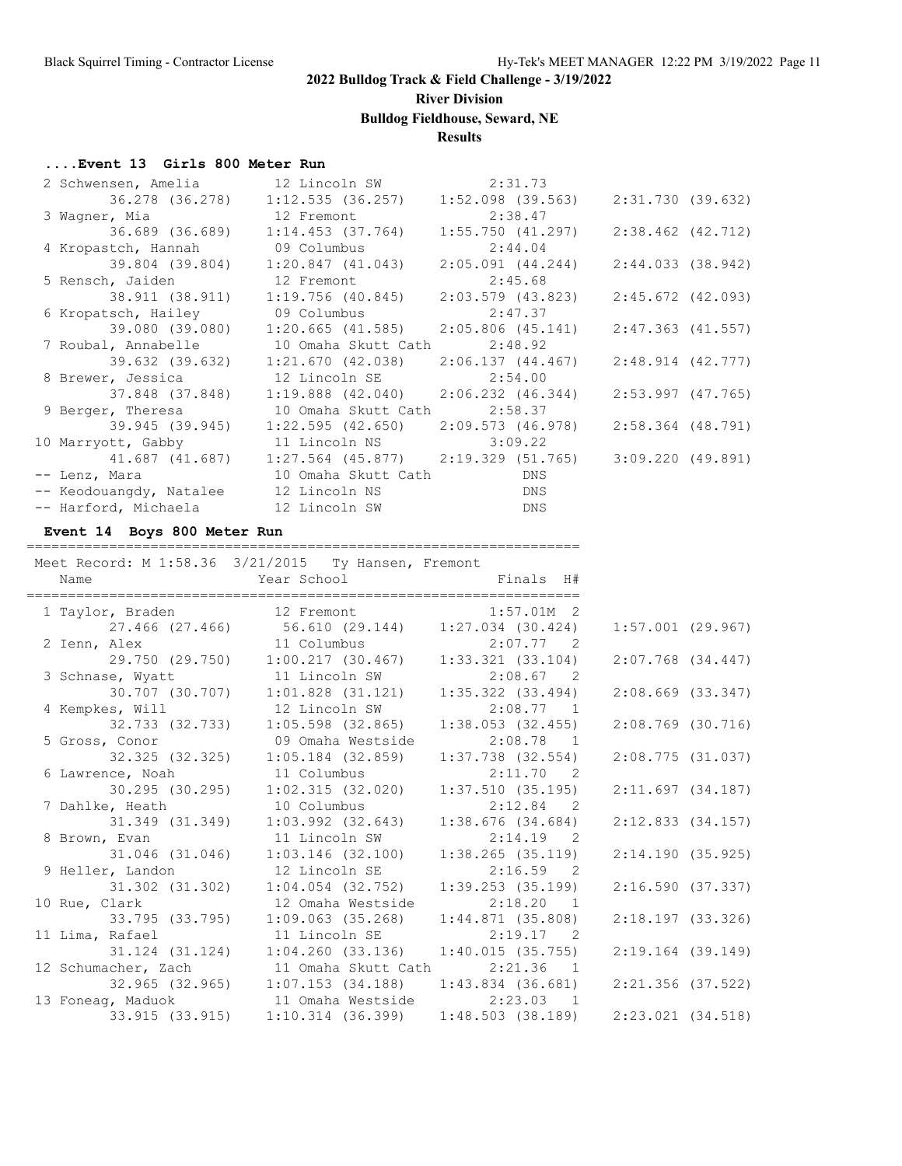**River Division**

**Bulldog Fieldhouse, Seward, NE**

#### **Results**

#### **....Event 13 Girls 800 Meter Run**

| 2 Schwensen, Amelia 12 Lincoln SW 2:31.73       |                                                                                             |                                                   |                     |
|-------------------------------------------------|---------------------------------------------------------------------------------------------|---------------------------------------------------|---------------------|
|                                                 | 36.278 (36.278) 1:12.535 (36.257)                                                           | 1:52.098 (39.563)                                 | 2:31.730 (39.632)   |
| 3 Wagner, Mia and 12 Fremont                    |                                                                                             | 2:38.47                                           |                     |
|                                                 |                                                                                             | $1:55.750$ (41.297)                               | 2:38.462 (42.712)   |
| 4 Kropastch, Hannah                             | 09 Columbus                                                                                 | 2:44.04                                           |                     |
| 39.804 (39.804) 1:20.847 (41.043)               |                                                                                             | 2:05.091 (44.244)                                 | 2:44.033(38.942)    |
| 5 Rensch, Jaiden 12 Fremont 2:45.68             |                                                                                             |                                                   |                     |
|                                                 | 38.911 (38.911) 1:19.756 (40.845) 2:03.579 (43.823)                                         |                                                   | 2:45.672 (42.093)   |
| 6 Kropatsch, Hailey                             | 09 Columbus 2:47.37                                                                         |                                                   |                     |
|                                                 |                                                                                             |                                                   | 2:47.363 (41.557)   |
| 7 Roubal, Annabelle 10 Omaha Skutt Cath 2:48.92 |                                                                                             |                                                   |                     |
|                                                 | 39.632 (39.632)                     1:21.670 (42.038)                     2:06.137 (44.467) |                                                   | $2:48.914$ (42.777) |
| 8 Brewer, Jessica                               | 12 Lincoln SE 2:54.00                                                                       |                                                   |                     |
|                                                 |                                                                                             |                                                   | 2:53.997 (47.765)   |
| 9 Berger, Theresa                               | 10 Omaha Skutt Cath 2:58.37                                                                 |                                                   |                     |
| 39.945 (39.945)                                 | $1:22.595$ (42.650) 2:09.573 (46.978)                                                       |                                                   | $2:58.364$ (48.791) |
| 10 Marryott, Gabby 11 Lincoln NS 3:09.22        |                                                                                             |                                                   |                     |
|                                                 | 41.687 (41.687) 1:27.564 (45.877) 2:19.329 (51.765)                                         |                                                   | 3:09.220 (49.891)   |
| -- Lenz, Mara 10 Omaha Skutt Cath               |                                                                                             | <b>Example 19 DNS</b>                             |                     |
| -- Keodouangdy, Natalee 12 Lincoln NS           |                                                                                             | <b>DNS</b>                                        |                     |
| -- Harford, Michaela 12 Lincoln SW              |                                                                                             | <b>Example 19 Service State State State State</b> |                     |

#### **Event 14 Boys 800 Meter Run**

#### =================================================================== Meet Record: M 1:58.36 3/21/2015 Ty Hansen, Fremont Name  $Year School$  Finals H# =================================================================== 1 Taylor, Braden 12 Fremont 1:57.01M 2 27.466 (27.466) 56.610 (29.144) 1:27.034 (30.424) 1:57.001 (29.967)

| 27.466 (27.466)      56.610 (29.144)      1:27.034 (30.424)      1:57.001 (29.967)        |                   |                     |                       |  |
|-------------------------------------------------------------------------------------------|-------------------|---------------------|-----------------------|--|
|                                                                                           |                   |                     |                       |  |
| 2 Ienn, Alex 11 Columbus 2:07.77 2<br>29.750 (29.750) 1:00.217 (30.467) 1:33.321 (33.104) |                   |                     | $2:07.768$ $(34.447)$ |  |
| 3 Schnase, Wyatt 11 Lincoln SW 2:08.67 2                                                  |                   |                     |                       |  |
| 30.707 (30.707) 1:01.828 (31.121)                                                         |                   | 1:35.322 (33.494)   | $2:08.669$ $(33.347)$ |  |
| 4 Kempkes, Will $12$ Lincoln SW $2:08.77$ 1                                               |                   |                     |                       |  |
| 32.733 (32.733)                                                                           | 1:05.598 (32.865) | $1:38.053$ (32.455) | $2:08.769$ (30.716)   |  |
| 5 Gross, Conor 69 Omaha Westside                                                          |                   | $2:08.78$ 1         |                       |  |
| 32.325 (32.325) 1:05.184 (32.859)                                                         |                   | $1:37.738$ (32.554) | 2:08.775(31.037)      |  |
| 6 Lawrence, Noah 11 Columbus 2:11.70 2                                                    |                   |                     |                       |  |
| 30.295 (30.295) 1:02.315 (32.020)                                                         |                   | 1:37.510 (35.195)   | 2:11.697(34.187)      |  |
| 7 Dahlke, Heath 10 Columbus 2:12.84 2                                                     |                   |                     |                       |  |
| 31.349 (31.349) 1:03.992 (32.643)                                                         |                   | 1:38.676 (34.684)   | 2:12.833 (34.157)     |  |
| 8 Brown, Evan 11 Lincoln SW                                                               |                   | $2:14.19$ 2         |                       |  |
| 31.046 (31.046)  1:03.146 (32.100)                                                        |                   | 1:38.265 (35.119)   | 2:14.190(35.925)      |  |
| 9 Heller, Landon 12 Lincoln SE 2:16.59 2                                                  |                   |                     |                       |  |
| 31.302 (31.302) 1:04.054 (32.752)                                                         |                   | 1:39.253 (35.199)   | 2:16.590(37.337)      |  |
| 10 Rue, Clark                                                                             | 12 Omaha Westside | $2:18.20$ 1         |                       |  |
|                                                                                           |                   |                     | 2:18.197(33.326)      |  |
| 11 Lima, Rafael                   11 Lincoln SE                 2:19.17     2             |                   |                     |                       |  |
|                                                                                           |                   |                     | 2:19.164 (39.149)     |  |
| 12 Schumacher, Zach 11 Omaha Skutt Cath 2:21.36 1                                         |                   |                     |                       |  |
|                                                                                           |                   |                     | 2:21.356 (37.522)     |  |
| 13 Foneag, Maduok 11 Omaha Westside 2:23.03 1                                             |                   |                     |                       |  |
|                                                                                           |                   |                     | 2:23.021 (34.518)     |  |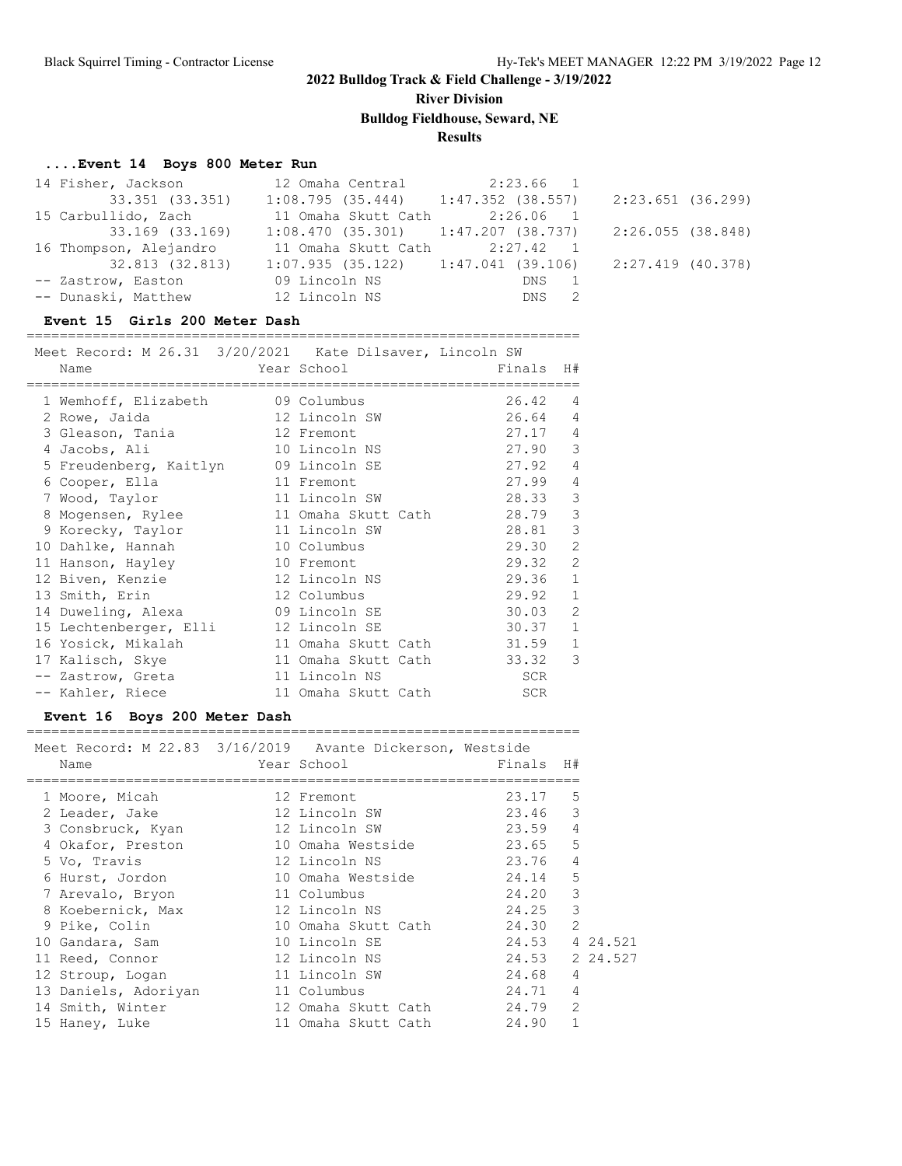**River Division Bulldog Fieldhouse, Seward, NE**

#### **Results**

#### **....Event 14 Boys 800 Meter Run**

| 14 Fisher, Jackson     | 12 Omaha Central 2:23.66 1                                  |       |                   |
|------------------------|-------------------------------------------------------------|-------|-------------------|
| 33.351 (33.351)        | $1:08.795$ (35.444) $1:47.352$ (38.557) $2:23.651$ (36.299) |       |                   |
| 15 Carbullido, Zach    | 11 Omaha Skutt Cath 2:26.06 1                               |       |                   |
| 33.169 (33.169)        | $1:08.470$ (35.301) $1:47.207$ (38.737)                     |       | 2:26.055 (38.848) |
| 16 Thompson, Alejandro | 11 Omaha Skutt Cath 2:27.42 1                               |       |                   |
| 32.813 (32.813)        | $1:07.935$ (35.122) $1:47.041$ (39.106)                     |       | 2:27.419 (40.378) |
| -- Zastrow, Easton     | 09 Lincoln NS                                               | DNS 1 |                   |
| -- Dunaski, Matthew    | 12 Lincoln NS                                               | DNS 2 |                   |

#### **Event 15 Girls 200 Meter Dash**

| Meet Record: M 26.31 3/20/2021 Kate Dilsaver, Lincoln SW |                     |            |                |
|----------------------------------------------------------|---------------------|------------|----------------|
| Name                                                     | Year School         | Finals     | H#             |
|                                                          |                     |            |                |
| 1 Wemhoff, Elizabeth 09 Columbus                         |                     | 26.42      | 4              |
| 2 Rowe, Jaida                                            | 12 Lincoln SW       | 26.64      | 4              |
| 3 Gleason, Tania                                         | 12 Fremont          | 27.17      | 4              |
| 4 Jacobs, Ali                                            | 10 Lincoln NS       | 27.90      | 3              |
| 5 Freudenberg, Kaitlyn                                   | 09 Lincoln SE       | 27.92      | 4              |
| 6 Cooper, Ella                                           | 11 Fremont          | 27.99      | $\overline{4}$ |
| 7 Wood, Taylor                                           | 11 Lincoln SW       | 28.33      | 3              |
| 8 Mogensen, Rylee                                        | 11 Omaha Skutt Cath | 28.79      | 3              |
| 9 Korecky, Taylor                                        | 11 Lincoln SW       | 28.81      | 3              |
| 10 Dahlke, Hannah                                        | 10 Columbus         | 29.30      | $\overline{2}$ |
| 11 Hanson, Hayley                                        | 10 Fremont          | 29.32      | $\overline{2}$ |
| 12 Biven, Kenzie                                         | 12 Lincoln NS       | 29.36      | $\mathbf{1}$   |
| 13 Smith, Erin                                           | 12 Columbus         | 29.92      | $\mathbf{1}$   |
| 14 Duweling, Alexa                                       | 09 Lincoln SE       | 30.03      | $\mathfrak{D}$ |
| 15 Lechtenberger, Elli                                   | 12 Lincoln SE       | 30.37      | $\mathbf{1}$   |
| 16 Yosick, Mikalah                                       | 11 Omaha Skutt Cath | 31.59      | 1              |
| 17 Kalisch, Skye                                         | 11 Omaha Skutt Cath | 33.32      | 3              |
| -- Zastrow, Greta                                        | 11 Lincoln NS       | SCR        |                |
| -- Kahler, Riece                                         | 11 Omaha Skutt Cath | <b>SCR</b> |                |

#### **Event 16 Boys 200 Meter Dash**

=================================================================== Meet Record: M 22.83 3/16/2019 Avante Dickerson, Westside

| Name                 |  |                                                                                                                                                                                                                                                                                               |   |                                                                                                                                                             |
|----------------------|--|-----------------------------------------------------------------------------------------------------------------------------------------------------------------------------------------------------------------------------------------------------------------------------------------------|---|-------------------------------------------------------------------------------------------------------------------------------------------------------------|
| 1 Moore, Micah       |  |                                                                                                                                                                                                                                                                                               | 5 |                                                                                                                                                             |
| 2 Leader, Jake       |  |                                                                                                                                                                                                                                                                                               |   |                                                                                                                                                             |
| 3 Consbruck, Kyan    |  |                                                                                                                                                                                                                                                                                               | 4 |                                                                                                                                                             |
| 4 Okafor, Preston    |  |                                                                                                                                                                                                                                                                                               | 5 |                                                                                                                                                             |
| 5 Vo, Travis         |  |                                                                                                                                                                                                                                                                                               | 4 |                                                                                                                                                             |
| 6 Hurst, Jordon      |  |                                                                                                                                                                                                                                                                                               | 5 |                                                                                                                                                             |
| 7 Arevalo, Bryon     |  |                                                                                                                                                                                                                                                                                               | 3 |                                                                                                                                                             |
| 8 Koebernick, Max    |  |                                                                                                                                                                                                                                                                                               | 3 |                                                                                                                                                             |
| 9 Pike, Colin        |  |                                                                                                                                                                                                                                                                                               | 2 |                                                                                                                                                             |
| 10 Gandara, Sam      |  |                                                                                                                                                                                                                                                                                               |   |                                                                                                                                                             |
| 11 Reed, Connor      |  |                                                                                                                                                                                                                                                                                               |   |                                                                                                                                                             |
| 12 Stroup, Logan     |  |                                                                                                                                                                                                                                                                                               | 4 |                                                                                                                                                             |
| 13 Daniels, Adoriyan |  |                                                                                                                                                                                                                                                                                               | 4 |                                                                                                                                                             |
| 14 Smith, Winter     |  |                                                                                                                                                                                                                                                                                               | 2 |                                                                                                                                                             |
| 15 Haney, Luke       |  | 24.90                                                                                                                                                                                                                                                                                         | 1 |                                                                                                                                                             |
|                      |  | Year School<br>12 Fremont<br>12 Lincoln SW<br>12 Lincoln SW<br>10 Omaha Westside<br>12 Lincoln NS<br>10 Omaha Westside<br>11 Columbus<br>12 Lincoln NS<br>10 Omaha Skutt Cath<br>10 Lincoln SE<br>12 Lincoln NS<br>11 Lincoln SW<br>11 Columbus<br>12 Omaha Skutt Cath<br>11 Omaha Skutt Cath |   | Finals H#<br>23.17<br>23.46 3<br>23.59<br>23.65<br>23.76<br>24.14<br>24.20<br>24.25<br>24.30<br>24.53 4 24.521<br>24.53 2 24.527<br>24.68<br>24.71<br>24.79 |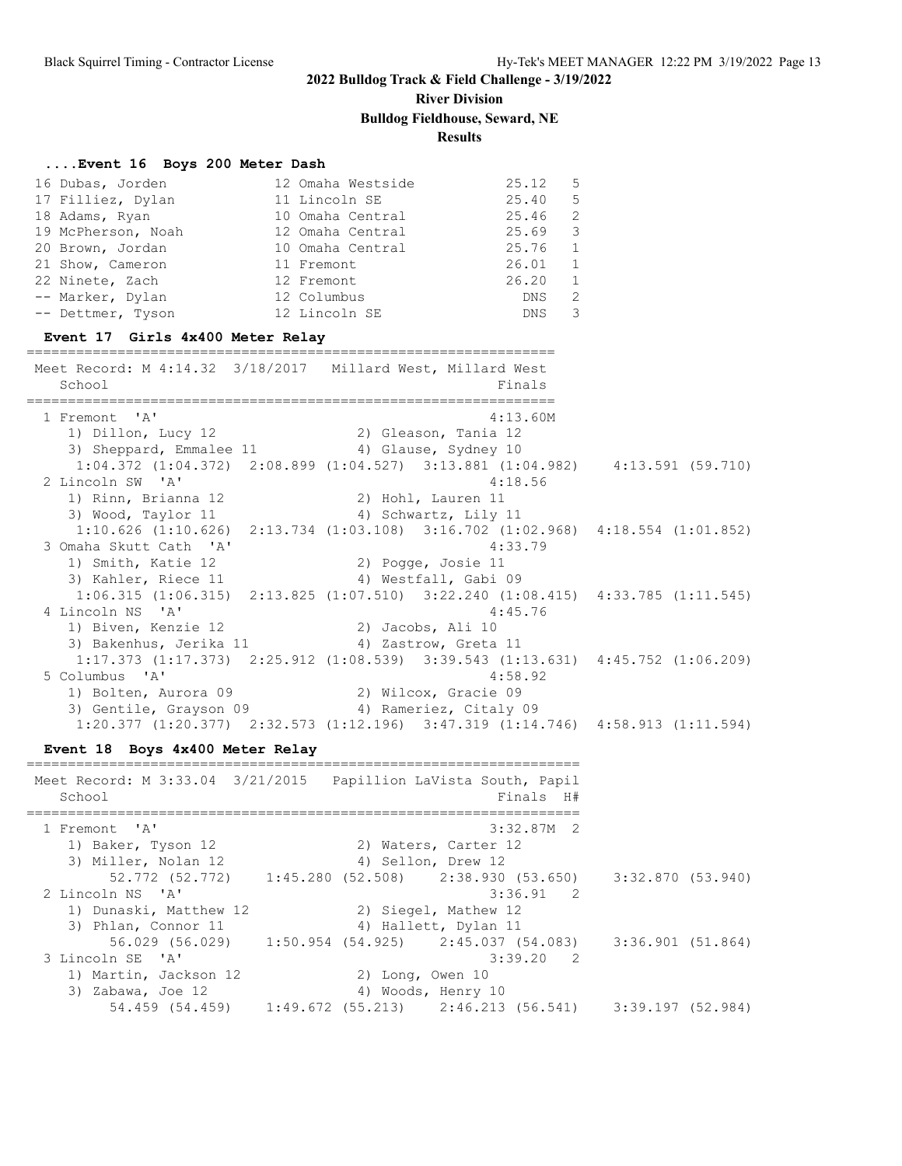# **River Division**

**Bulldog Fieldhouse, Seward, NE**

**Results**

### **....Event 16 Boys 200 Meter Dash**

| 16 Dubas, Jorden<br>16 Dubas, s.<br>17 Filliez, Dylan<br>Duan<br>19 McPherson, Noah 12 Omaha Central 25.69<br>20 Brown, Jordan<br>21 Show, Cameron 11 Fremont<br>22 Ninete, Zach<br>-- Marker, Dylan<br>-- Dettmer, Tyson<br>Event 17 Girls 4x400 Meter Relay | 12 Omaha Westside<br>11 Lincoln SE<br>10 Omaha Central<br>10 Omaha Central 25.76<br>26.01<br>12 Fremont<br>12 Columbus<br>12 Lincoln SE | 25.12<br>5<br>5<br>25.40<br>25.46<br>2<br>3<br>1<br>1<br>26.20<br>1<br>2<br>DNS<br>3<br>DNS |                     |
|---------------------------------------------------------------------------------------------------------------------------------------------------------------------------------------------------------------------------------------------------------------|-----------------------------------------------------------------------------------------------------------------------------------------|---------------------------------------------------------------------------------------------|---------------------|
| Meet Record: M 4:14.32 3/18/2017 Millard West, Millard West<br>School                                                                                                                                                                                         |                                                                                                                                         | Finals<br>===============                                                                   |                     |
| 1 Fremont 'A'<br>1) Dillon, Lucy 12<br>3) Sheppard, Emmalee 11 4) Glause, Sydney 10<br>$1:04.372$ $(1:04.372)$ $2:08.899$ $(1:04.527)$ $3:13.881$ $(1:04.982)$ $4:13.591$ $(59.710)$                                                                          | 2) Gleason, Tania 12                                                                                                                    | 4:13.60M                                                                                    |                     |
| 2 Lincoln SW 'A'<br>1) Rinn, Brianna 12<br>3) Wood, Taylor 11<br>1:10.626 (1:10.626) 2:13.734 (1:03.108) 3:16.702 (1:02.968) 4:18.554 (1:01.852)<br>3 Omaha Skutt Cath 'A'                                                                                    | 2) Hohl, Lauren 11<br>4) Schwartz, Lily 11                                                                                              | 4:18.56<br>4:33.79                                                                          |                     |
| 1) Smith, Katie 12<br>3) Kahler, Riece 11<br>$1:06.315$ (1:06.315) $2:13.825$ (1:07.510) $3:22.240$ (1:08.415) $4:33.785$ (1:11.545)<br>4 Lincoln NS 'A'                                                                                                      | 2) Pogge, Josie 11<br>4) Westfall, Gabi 09                                                                                              | 4:45.76                                                                                     |                     |
| 1) Biven, Kenzie 12<br>3) Bakenhus, Jerika 11<br>1:17.373 (1:17.373) 2:25.912 (1:08.539) 3:39.543 (1:13.631) 4:45.752 (1:06.209)<br>5 Columbus 'A'<br>1) Bolten, Aurora 09 (2) Wilcox, Gracie 09                                                              | 2) Jacobs, Ali 10<br>4) Zastrow, Greta 11                                                                                               | 4:58.92                                                                                     |                     |
| 3) Gentile, Grayson 09 (4) Rameriez, Citaly 09<br>1:20.377 (1:20.377) 2:32.573 (1:12.196) 3:47.319 (1:14.746) 4:58.913 (1:11.594)<br>Event 18 Boys 4x400 Meter Relay                                                                                          |                                                                                                                                         |                                                                                             |                     |
| Meet Record: M 3:33.04 3/21/2015  Papillion LaVista South, Papil<br>School                                                                                                                                                                                    | =================================                                                                                                       | Finals H#                                                                                   |                     |
| $\mathsf{A}$<br>1 Fremont<br>1) Baker, Tyson 12<br>3) Miller, Nolan 12                                                                                                                                                                                        | 2) Waters, Carter 12<br>4) Sellon, Drew 12                                                                                              | $3:32.87M$ 2                                                                                |                     |
| 52.772 (52.772)<br>2 Lincoln NS<br>$\mathsf{A}$<br>1) Dunaski, Matthew 12                                                                                                                                                                                     | 1:45.280(52.508)<br>2) Siegel, Mathew 12                                                                                                | 2:38.930(53.650)<br>3:36.91<br>$\overline{\phantom{0}}^2$                                   | 3:32.870 (53.940)   |
| 3) Phlan, Connor 11<br>56.029 (56.029)<br>3 Lincoln SE<br>$^{\prime}$ A $^{\prime}$<br>1) Martin, Jackson 12                                                                                                                                                  | 4) Hallett, Dylan 11<br>$1:50.954$ (54.925)<br>2) Long, Owen 10                                                                         | 2:45.037(54.083)<br>3:39.20<br>$\overline{\phantom{0}}^2$                                   | 3:36.901(51.864)    |
| 3) Zabawa, Joe 12<br>54.459 (54.459)                                                                                                                                                                                                                          | 4) Woods, Henry 10<br>1:49.672(55.213)                                                                                                  | 2:46.213 (56.541)                                                                           | $3:39.197$ (52.984) |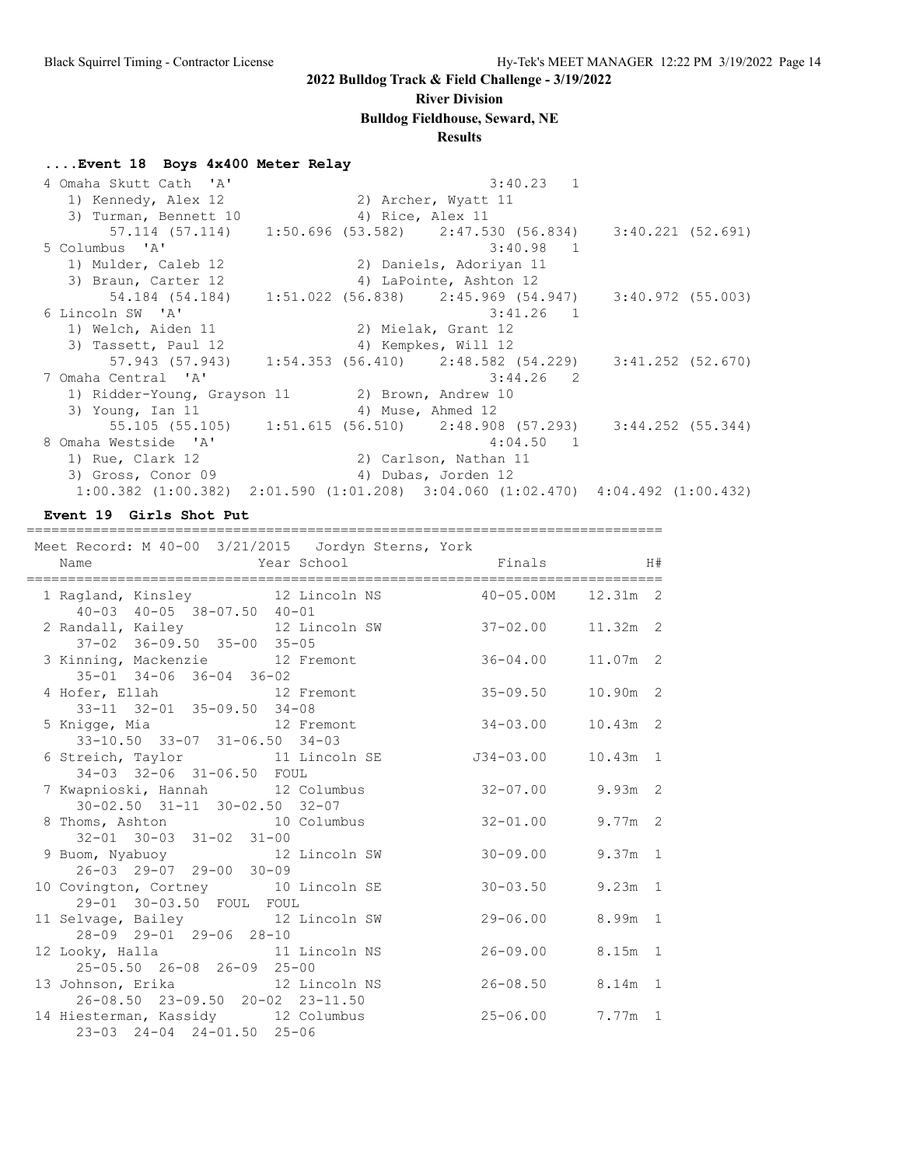#### **River Division**

**Bulldog Fieldhouse, Seward, NE**

### **Results**

#### **....Event 18 Boys 4x400 Meter Relay**

| 4 Omaha Skutt Cath 'A'                                                                          |                   | $3:40.23$ 1                                                           |                     |  |
|-------------------------------------------------------------------------------------------------|-------------------|-----------------------------------------------------------------------|---------------------|--|
| 1) Kennedy, Alex 12                                                                             |                   | 2) Archer, Wyatt 11                                                   |                     |  |
| 3) Turman, Bennett 10                                                                           | 4) Rice, Alex 11  |                                                                       |                     |  |
|                                                                                                 |                   | 57.114 (57.114) 1:50.696 (53.582) 2:47.530 (56.834) 3:40.221 (52.691) |                     |  |
| 5 Columbus 'A'                                                                                  |                   | $3:40.98$ 1                                                           |                     |  |
| 1) Mulder, Caleb 12                                                                             |                   | 2) Daniels, Adoriyan 11                                               |                     |  |
| 3) Braun, Carter 12                                                                             |                   | 4) LaPointe, Ashton 12                                                |                     |  |
|                                                                                                 |                   |                                                                       | 3:40.972 (55.003)   |  |
| 6 Lincoln SW 'A'                                                                                |                   | $3:41.26$ 1                                                           |                     |  |
| 1) Welch, Aiden 11                                                                              |                   | 2) Mielak, Grant 12                                                   |                     |  |
| 3) Tassett, Paul 12                                                                             |                   | 4) Kempkes, Will 12                                                   |                     |  |
|                                                                                                 |                   | 57.943 (57.943) 1:54.353 (56.410) 2:48.582 (54.229) 3:41.252 (52.670) |                     |  |
| 7 Omaha Central 'A'                                                                             |                   | $3:44.26$ 2                                                           |                     |  |
| 1) Ridder-Young, Grayson 11 (2) Brown, Andrew 10                                                |                   |                                                                       |                     |  |
| 3) Young, Ian 11                                                                                | 4) Muse, Ahmed 12 |                                                                       |                     |  |
|                                                                                                 |                   | 55.105 (55.105)    1:51.615 (56.510)    2:48.908 (57.293)             | $3:44.252$ (55.344) |  |
| 8 Omaha Westside 'A'                                                                            |                   | $4:04.50$ 1                                                           |                     |  |
| 1) Rue, Clark 12                                                                                |                   | 2) Carlson, Nathan 11                                                 |                     |  |
| 3) Gross, Conor 09                                                                              |                   | 4) Dubas, Jorden 12                                                   |                     |  |
| $1:00.382$ $(1:00.382)$ $2:01.590$ $(1:01.208)$ $3:04.060$ $(1:02.470)$ $4:04.492$ $(1:00.432)$ |                   |                                                                       |                     |  |
|                                                                                                 |                   |                                                                       |                     |  |

**Event 19 Girls Shot Put**

=============================================================================

| Meet Record: M 40-00 3/21/2015 Jordyn Sterns, York<br>Year School <a> Finals <a> H#<br/>Name</a></a> |  |                      |            |  |
|------------------------------------------------------------------------------------------------------|--|----------------------|------------|--|
| 1 Ragland, Kinsley 12 Lincoln NS 40-05.00M 12.31m 2<br>40-03 40-05 38-07.50 40-01                    |  |                      |            |  |
| 2 Randall, Kailey 12 Lincoln SW 37-02.00<br>37-02 36-09.50 35-00 35-05                               |  |                      | $11.32m$ 2 |  |
| 3 Kinning, Mackenzie 12 Fremont 36-04.00<br>35-01 34-06 36-04 36-02                                  |  |                      | $11.07m$ 2 |  |
| 4 Hofer, Ellah 12 Fremont<br>33-11 32-01 35-09.50 34-08                                              |  | $35 - 09.50$         | 10.90m 2   |  |
| 5 Knigge, Mia and 12 Fremont<br>33-10.50 33-07 31-06.50 34-03                                        |  | $34 - 03.00$         | $10.43m$ 2 |  |
| 6 Streich, Taylor 11 Lincoln SE<br>34-03 32-06 31-06.50 FOUL                                         |  | J34-03.00            | $10.43m$ 1 |  |
| 7 Kwapnioski, Hannah 12 Columbus<br>30-02.50 31-11 30-02.50 32-07                                    |  | $32 - 07.00$ 9.93m 2 |            |  |
| 8 Thoms, Ashton 10 Columbus<br>32-01 30-03 31-02 31-00                                               |  | $32 - 01.00$         | $9.77m$ 2  |  |
| 9 Buom, Nyabuoy 12 Lincoln SW 30-09.00<br>26-03 29-07 29-00 30-09                                    |  |                      | $9.37m$ 1  |  |
| 10 Covington, Cortney 10 Lincoln SE<br>29-01 30-03.50 FOUL FOUL                                      |  | $30 - 03.50$         | $9.23m$ 1  |  |
| 11 Selvage, Bailey 12 Lincoln SW<br>28-09 29-01 29-06 28-10                                          |  | 29-06.00             | 8.99m 1    |  |
| 12 Looky, Halla 11 Lincoln NS<br>25-05.50 26-08 26-09 25-00                                          |  | $26 - 09.00$         | $8.15m$ 1  |  |
| 13 Johnson, Erika 12 Lincoln NS<br>26-08.50 23-09.50 20-02 23-11.50                                  |  | $26 - 08.50$         | $8.14m$ 1  |  |
| 14 Hiesterman, Kassidy 12 Columbus<br>23-03 24-04 24-01.50 25-06                                     |  | 25-06.00 7.77m 1     |            |  |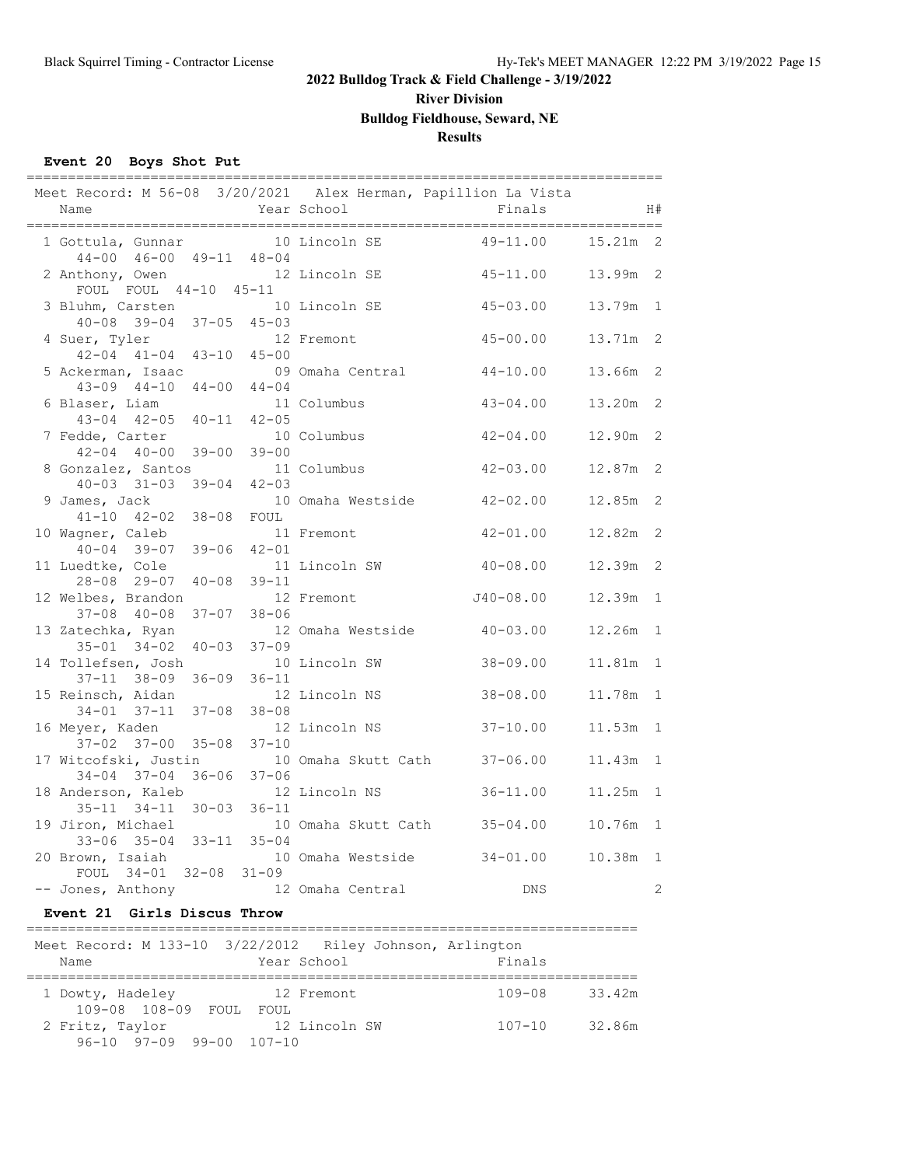**River Division**

#### **Bulldog Fieldhouse, Seward, NE**

#### **Results**

#### **Event 20 Boys Shot Put**

| Meet Record: M 56-08 3/20/2021 Alex Herman, Papillion La Vista<br>Name |           | Year School         | Finals                       |            | H#           |
|------------------------------------------------------------------------|-----------|---------------------|------------------------------|------------|--------------|
| 1 Gottula, Gunnar<br>44-00 46-00 49-11 48-04                           |           | 10 Lincoln SE       | $49 - 11.00$                 | $15.21m$ 2 |              |
| 2 Anthony, Owen<br>FOUL FOUL 44-10 45-11                               |           | 12 Lincoln SE       | $45 - 11.00$                 | 13.99m 2   |              |
| 3 Bluhm, Carsten<br>$40 - 08$ 39-04 37-05 45-03                        |           | 10 Lincoln SE       | $45 - 03.00$                 | 13.79m     | $\mathbf{1}$ |
| 4 Suer, Tyler<br>$42 - 04$ $41 - 04$ $43 - 10$ $45 - 00$               |           | 12 Fremont          | $45 - 00.00$                 | 13.71m 2   |              |
| 5 Ackerman, Isaac<br>$43-09$ $44-10$ $44-00$ $44-04$                   |           | 09 Omaha Central    | $44 - 10.00$                 | 13.66m 2   |              |
| 6 Blaser, Liam<br>$43-04$ $42-05$ $40-11$ $42-05$                      |           | 11 Columbus         | $43 - 04.00$                 | 13.20m     | 2            |
| 7 Fedde, Carter<br>$42 - 04$ $40 - 00$ $39 - 00$                       | $39 - 00$ | 10 Columbus         | $42 - 04.00$                 | 12.90m     | 2            |
| 8 Gonzalez, Santos<br>$40 - 03$ $31 - 03$ $39 - 04$                    | $42 - 03$ | 11 Columbus         | $42 - 03.00$                 | 12.87m 2   |              |
| 9 James, Jack<br>$41 - 10$ $42 - 02$ $38 - 08$                         | FOUL      | 10 Omaha Westside   | 42-02.00                     | 12.85m     | 2            |
| 10 Wagner, Caleb<br>40-04 39-07 39-06 42-01                            |           | 11 Fremont          | $42 - 01.00$                 | 12.82m     | 2            |
| 11 Luedtke, Cole<br>28-08 29-07 40-08                                  | $39 - 11$ | 11 Lincoln SW       | $40 - 08.00$                 | 12.39m 2   |              |
| 12 Welbes, Brandon<br>$37-08$ $40-08$ $37-07$                          | $38 - 06$ | 12 Fremont          | $J40 - 08.00$                | 12.39m     | $\mathbf{1}$ |
| 13 Zatechka, Ryan<br>$35 - 01$ $34 - 02$ $40 - 03$                     | $37 - 09$ | 12 Omaha Westside   | $40 - 03.00$                 | 12.26m     | $\mathbf{1}$ |
| 14 Tollefsen, Josh<br>37-11 38-09 36-09                                | $36 - 11$ | 10 Lincoln SW       | $38 - 09.00$                 | 11.81m     | 1            |
| 15 Reinsch, Aidan<br>$34 - 01$ $37 - 11$ $37 - 08$                     | $38 - 08$ | 12 Lincoln NS       | $38 - 08.00$                 | 11.78m     | $\mathbf{1}$ |
| 16 Meyer, Kaden<br>$37 - 02$ $37 - 00$ $35 - 08$                       | $37 - 10$ | 12 Lincoln NS       | $37 - 10.00$                 | 11.53m     | $\mathbf{1}$ |
| 17 Witcofski, Justin<br>34-04 37-04 36-06                              | $37 - 06$ | 10 Omaha Skutt Cath | $37 - 06.00$                 | 11.43m 1   |              |
| 18 Anderson, Kaleb 12 Lincoln NS<br>$35 - 11$ $34 - 11$ $30 - 03$      | $36 - 11$ |                     | $36 - 11.00$                 | 11.25m     | 1            |
| 19 Jiron, Michael<br>33-06 35-04 33-11 35-04                           |           |                     | 10 Omaha Skutt Cath 35-04.00 | 10.76m 1   |              |
| 20 Brown, Isaiah<br>FOUL 34-01 32-08 31-09                             |           | 10 Omaha Westside   | $34 - 01.00$                 | 10.38m 1   |              |
| -- Jones, Anthony                                                      |           | 12 Omaha Central    | <b>DNS</b>                   |            | 2            |

#### **Event 21 Girls Discus Throw**

#### ========================================================================== Meet Record: M 133-10 3/22/2012 Riley Johnson, Arlington Name Year School Finals ========================================================================== 1 Dowty, Hadeley 12 Fremont 109-08 108-09 FOUL FOUL<br>2 Fritz, Taylor 12 FOUL<br>12 Lincoln SW 107-10 32.86m 96-10 97-09 99-00 107-10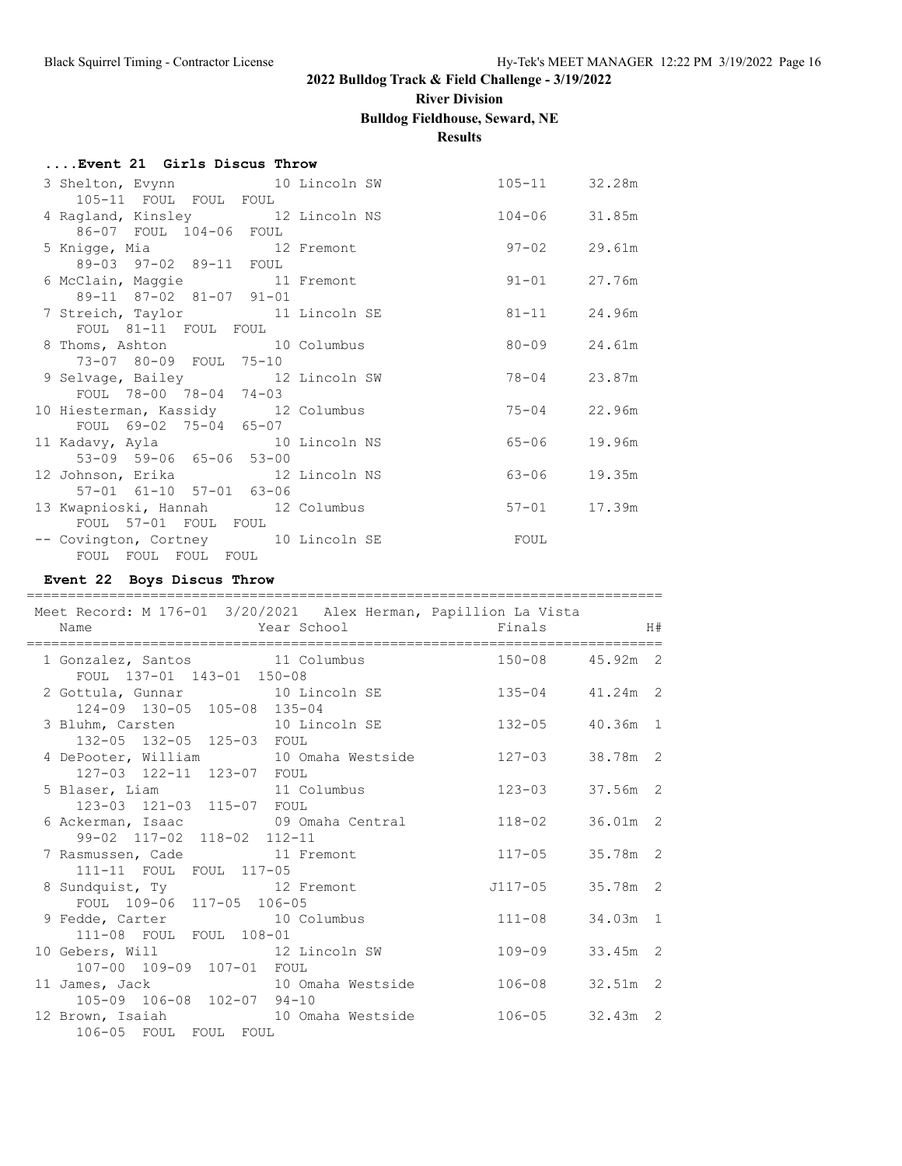# **River Division**

### **Bulldog Fieldhouse, Seward, NE**

### **Results**

| Event 21 Girls Discus Throw |  |  |  |
|-----------------------------|--|--|--|
|                             |  |  |  |

| 3 Shelton, Evynn 10 Lincoln SW                 | 105-11 32.28m    |        |
|------------------------------------------------|------------------|--------|
| 105-11 FOUL FOUL FOUL                          |                  |        |
| 4 Ragland, Kinsley 12 Lincoln NS 104-06 31.85m |                  |        |
| 86-07 FOUL 104-06 FOUL                         |                  |        |
| 5 Knigge, Mia and 12 Fremont                   | 97-02 29.61m     |        |
| 89-03 97-02 89-11 FOUL                         |                  |        |
| 6 McClain, Maggie 11 Fremont                   | $91 - 01$ 27.76m |        |
| 89-11 87-02 81-07 91-01                        |                  |        |
| 7 Streich, Taylor 11 Lincoln SE                | $81 - 11$ 24.96m |        |
| FOUL 81-11 FOUL FOUL                           |                  |        |
| 8 Thoms, Ashton 10 Columbus                    | 80-09 24.61m     |        |
| 73-07 80-09 FOUL 75-10                         |                  |        |
| 9 Selvage, Bailey 12 Lincoln SW                | 78-04 23.87m     |        |
| FOUL 78-00 78-04 74-03                         |                  |        |
| 10 Hiesterman, Kassidy 12 Columbus             | $75 - 04$ 22.96m |        |
| FOUL 69-02 75-04 65-07                         |                  |        |
| 11 Kadavy, Ayla 10 Lincoln NS                  | 65-06            | 19.96m |
| 53-09 59-06 65-06 53-00                        |                  |        |
| 12 Johnson, Erika 12 Lincoln NS                | $63 - 06$        | 19.35m |
| 57-01 61-10 57-01 63-06                        |                  |        |
| 13 Kwapnioski, Hannah 12 Columbus              | $57 - 01$        | 17.39m |
| FOUL 57-01 FOUL FOUL                           |                  |        |
| -- Covington, Cortney 10 Lincoln SE            | FOUL             |        |
| FOUL FOUL FOUL FOUL                            |                  |        |

### **Event 22 Boys Discus Throw**

| :================<br>Meet Record: M 176-01 3/20/2021 Alex Herman, Papillion La Vista<br>Name | <b>Example 2</b> Year School <b>Example 2 State 3 Year School</b> |                  |            | H# |
|----------------------------------------------------------------------------------------------|-------------------------------------------------------------------|------------------|------------|----|
| 1 Gonzalez, Santos 11 Columbus                                                               |                                                                   | 150-08 45.92m 2  |            |    |
| FOUL 137-01 143-01 150-08<br>2 Gottula, Gunnar 10 Lincoln SE 135-04 41.24m 2                 |                                                                   |                  |            |    |
| 124-09 130-05 105-08 135-04                                                                  |                                                                   |                  |            |    |
| 3 Bluhm, Carsten 10 Lincoln SE 132-05 40.36m 1                                               |                                                                   |                  |            |    |
| 132-05 132-05 125-03 FOUL<br>4 DePooter, William 10 Omaha Westside 127-03                    |                                                                   |                  | 38.78m 2   |    |
| 127-03 122-11 123-07 FOUL                                                                    |                                                                   |                  |            |    |
| 5 Blaser, Liam 11 Columbus 123-03                                                            |                                                                   |                  | 37.56m 2   |    |
| 123-03 121-03 115-07 FOUL                                                                    |                                                                   |                  |            |    |
| 6 Ackerman, Isaac 69 Omaha Central 118-02<br>99-02 117-02 118-02 112-11                      |                                                                   |                  | $36.01m$ 2 |    |
| 7 Rasmussen, Cade 11 Fremont                                                                 |                                                                   | $117 - 05$       | 35.78m 2   |    |
| 111-11 FOUL FOUL 117-05                                                                      |                                                                   |                  |            |    |
| 8 Sundquist, Ty 12 Fremont                                                                   |                                                                   | J117-05 35.78m 2 |            |    |
| FOUL 109-06 117-05 106-05                                                                    |                                                                   |                  |            |    |
| 9 Fedde, Carter 10 Columbus                                                                  |                                                                   | $111 - 08$       | 34.03m 1   |    |
| 111-08 FOUL FOUL 108-01<br>10 Gebers, Will 30 12 Lincoln SW                                  |                                                                   | $109 - 09$       | 33.45m 2   |    |
| 107-00 109-09 107-01 FOUL                                                                    |                                                                   |                  |            |    |
| 11 James, Jack 10 Omaha Westside 106-08<br>105-09 106-08 102-07 94-10                        |                                                                   |                  | $32.51m$ 2 |    |
|                                                                                              |                                                                   |                  |            |    |
| 12 Brown, Isaiah 10 Omaha Westside 106-05 32.43m 2                                           |                                                                   |                  |            |    |
| 106-05 FOUL FOUL FOUL                                                                        |                                                                   |                  |            |    |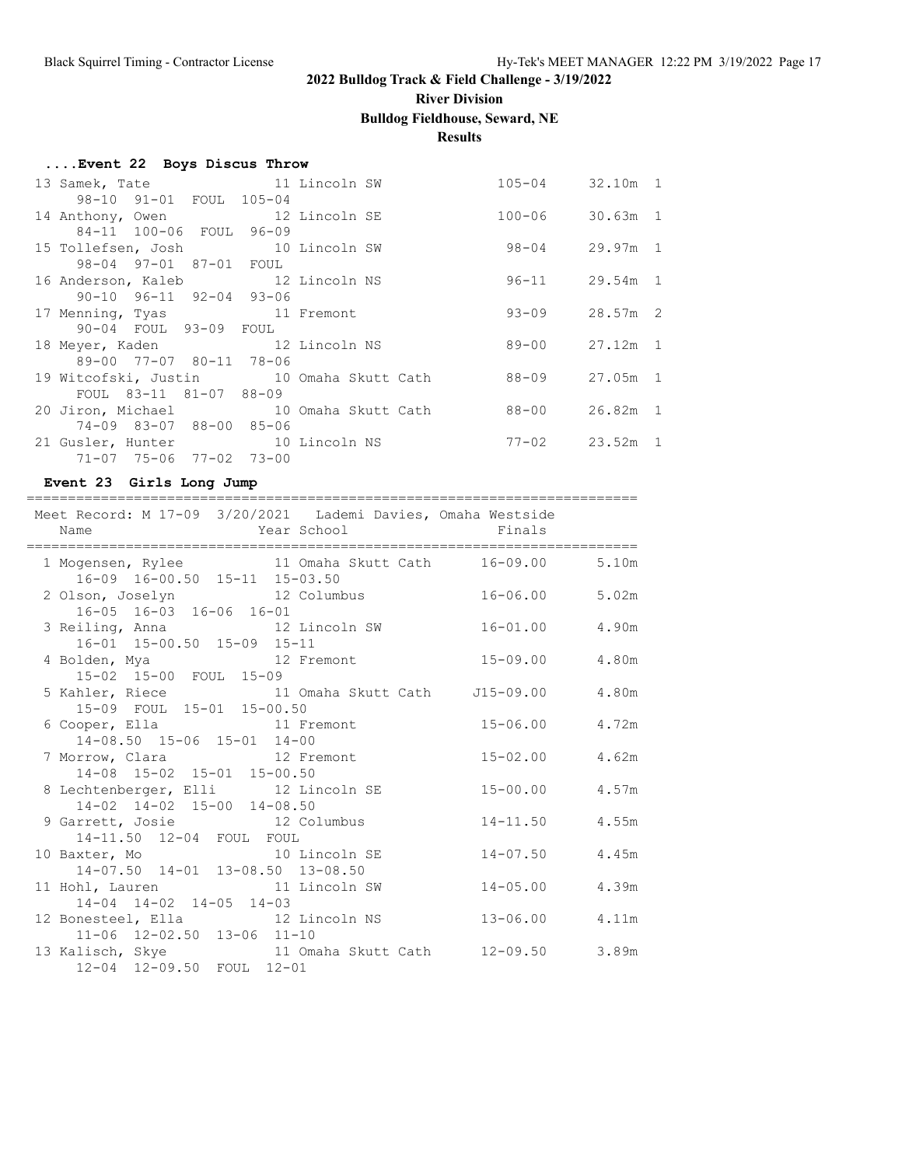# **River Division**

### **Bulldog Fieldhouse, Seward, NE**

### **Results**

| 13 Samek, Tate 11 Lincoln SW                               |  | $105 - 04$         | 32.10m 1   |  |
|------------------------------------------------------------|--|--------------------|------------|--|
| 98-10 91-01 FOUL 105-04                                    |  |                    |            |  |
| 14 Anthony, Owen 12 Lincoln SE                             |  | 100-06 30.63m 1    |            |  |
| 84-11 100-06 FOUL 96-09                                    |  |                    |            |  |
| 15 Tollefsen, Josh 10 Lincoln SW                           |  | 98-04 29.97m 1     |            |  |
| 98-04 97-01 87-01 FOUL                                     |  |                    |            |  |
| 16 Anderson, Kaleb 12 Lincoln NS                           |  | $96 - 11$          | $29.54m$ 1 |  |
| $90-10$ $96-11$ $92-04$ $93-06$                            |  |                    |            |  |
| 17 Menning, Tyas 11 Fremont                                |  | $93 - 09$ 28.57m 2 |            |  |
| 90-04 FOUL 93-09 FOUL                                      |  |                    |            |  |
| 18 Meyer, Kaden 12 Lincoln NS                              |  | 89-00 27.12m 1     |            |  |
| 89-00 77-07 80-11 78-06                                    |  |                    |            |  |
| 19 Witcofski, Justin 10 Omaha Skutt Cath                   |  | 88-09 27.05m 1     |            |  |
| FOUL 83-11 81-07 88-09                                     |  |                    |            |  |
| 20 Jiron, Michael 10 Omaha Skutt Cath                      |  | 88-00 26.82m 1     |            |  |
| 74-09 83-07 88-00 85-06                                    |  |                    |            |  |
| 21 Gusler, Hunter 10 Lincoln NS<br>71-07 75-06 77-02 73-00 |  | $77 - 02$ 23.52m 1 |            |  |
|                                                            |  |                    |            |  |

#### **Event 23 Girls Long Jump**

| Meet Record: M 17-09 3/20/2021 Lademi Davies, Omaha Westside                                                          |                    |  |
|-----------------------------------------------------------------------------------------------------------------------|--------------------|--|
| 1 Mogensen, Rylee 11 Omaha Skutt Cath 16-09.00 5.10m<br>16-09 16-00.50 15-11 15-03.50                                 |                    |  |
| 2 Olson, Joselyn 12 Columbus 16-06.00 5.02m<br>16-05 16-03 16-06 16-01                                                |                    |  |
| 3 Reiling, Anna 12 Lincoln SW 16-01.00 4.90m<br>16-01 15-00.50 15-09 15-11                                            |                    |  |
| 15-02 15-00 FOUL 15-09                                                                                                |                    |  |
| 5 Kahler, Riece 11 Omaha Skutt Cath J15-09.00 4.80m<br>15-09 FOUL 15-01 15-00.50                                      |                    |  |
| 6 Cooper, Ella               11 Fremont                 15-06.00       4.72m<br>14-08.50 15-06 15-01 14-00            |                    |  |
| 14-08 15-02 15-01 15-00.50                                                                                            |                    |  |
| 8 Lechtenberger, Elli 12 Lincoln SE<br>14-02 14-02 15-00 14-08.50                                                     | $15 - 00.00$ 4.57m |  |
| 9 Garrett, Josie 12 Columbus 14-11.50 4.55m<br>14-11.50 12-04 FOUL FOUL                                               |                    |  |
| 10 Baxter, Mo    10 Lincoln SE<br>14-07.50 14-01 13-08.50 13-08.50                                                    | $14 - 07.50$ 4.45m |  |
| 11 Hohl, Lauren 11 Lincoln SW 14-05.00 4.39m<br>14-04 14-02 14-05 14-03                                               |                    |  |
| 12 Bonesteel, Ella                 12 Lincoln NS                   13-06.00       4.11m<br>11-06 12-02.50 13-06 11-10 |                    |  |
| 13 Kalisch, Skye             11 Omaha Skutt Cath     12-09.50     3.89m<br>12-04 12-09.50 FOUL 12-01                  |                    |  |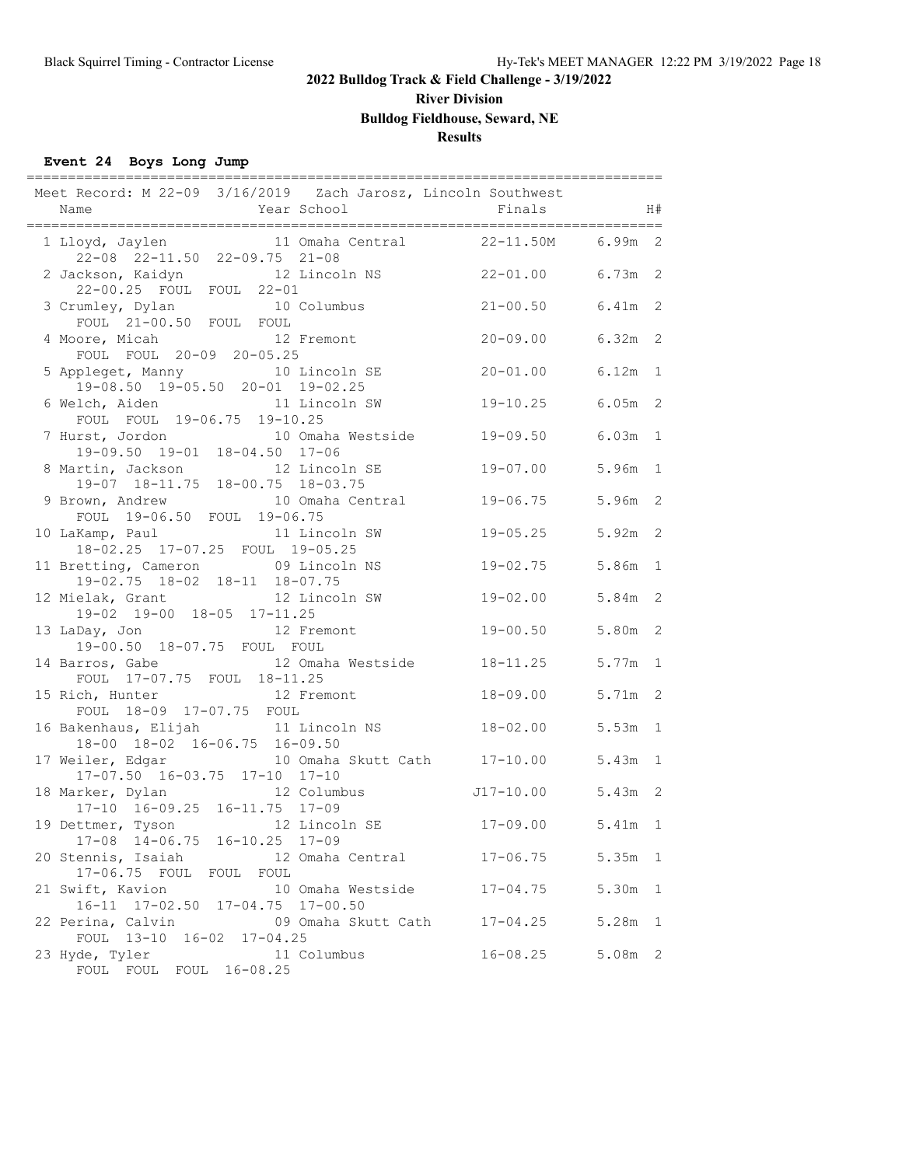**River Division**

**Bulldog Fieldhouse, Seward, NE**

### **Results**

### **Event 24 Boys Long Jump**

|                      |                                                                     |                                               | Meet Record: M 22-09 3/16/2019 Zach Jarosz, Lincoln Southwest               |           |   |
|----------------------|---------------------------------------------------------------------|-----------------------------------------------|-----------------------------------------------------------------------------|-----------|---|
|                      | 22-08 22-11.50 22-09.75 21-08                                       |                                               | 1 Lloyd, Jaylen 11 Omaha Central 22-11.50M 6.99m 2                          |           |   |
| 2 Jackson, Kaidyn    | 22-00.25 FOUL FOUL 22-01                                            |                                               | 12 Lincoln NS    22-01.00    6.73m    2                                     |           |   |
|                      | 3 Crumley, Dylan 10 Columbus<br>FOUL 21-00.50 FOUL FOUL             |                                               | $21 - 00.50$                                                                | 6.41m 2   |   |
|                      | 4 Moore, Micah 12 Fremont<br>FOUL FOUL 20-09 20-05.25               |                                               | 20-09.00                                                                    | $6.32m$ 2 |   |
|                      | 5 Appleget, Manny 10 Lincoln SE<br>19-08.50 19-05.50 20-01 19-02.25 |                                               | $20 - 01.00$                                                                | $6.12m$ 1 |   |
|                      | FOUL FOUL 19-06.75 19-10.25                                         | 6 Welch, Aiden and 11 Lincoln SW              | $19 - 10.25$                                                                | $6.05m$ 2 |   |
|                      |                                                                     |                                               | 7 Hurst, Jordon 10 Omaha Westside 19-09.50<br>19-09.50 19-01 18-04.50 17-06 | $6.03m$ 1 |   |
|                      | 8 Martin, Jackson 12 Lincoln SE<br>19-07 18-11.75 18-00.75 18-03.75 |                                               | $19 - 07.00$                                                                | 5.96m 1   |   |
|                      | FOUL 19-06.50 FOUL 19-06.75                                         |                                               | 9 Brown, Andrew 10 Omaha Central 19-06.75                                   | $5.96m$ 2 |   |
|                      | 10 LaKamp, Paul 11 Lincoln SW<br>18-02.25 17-07.25 FOUL 19-05.25    |                                               | $19 - 05.25$                                                                | $5.92m$ 2 |   |
|                      | 11 Bretting, Cameron 09 Lincoln NS<br>19-02.75 18-02 18-11 18-07.75 |                                               | 19-02.75                                                                    | 5.86m 1   |   |
|                      | 12 Mielak, Grant 12 Lincoln SW<br>19-02 19-00 18-05 17-11.25        |                                               | 19-02.00                                                                    | 5.84m 2   |   |
|                      | 13 LaDay, Jon 12 Fremont<br>19-00.50 18-07.75 FOUL FOUL             |                                               | $19 - 00.50$                                                                | 5.80m     | 2 |
|                      | FOUL 17-07.75 FOUL 18-11.25                                         | 14 Barros, Gabe 12 Omaha Westside 18-11.25    |                                                                             | $5.77m$ 1 |   |
| 15 Rich, Hunter      | FOUL 18-09 17-07.75 FOUL                                            | 12 Fremont                                    | 18-09.00                                                                    | 5.71m 2   |   |
| 16 Bakenhaus, Elijah | $18-00$ $18-02$ $16-06.75$ $16-09.50$                               | 11 Lincoln NS                                 | $18 - 02.00$                                                                | $5.53m$ 1 |   |
|                      | 17-07.50 16-03.75 17-10 17-10                                       | 17 Weiler, Edgar 10 Omaha Skutt Cath 17-10.00 |                                                                             | 5.43m 1   |   |
|                      | 18 Marker, Dylan 12 Columbus<br>17-10 16-09.25 16-11.75 17-09       |                                               | $J17-10.00$                                                                 | $5.43m$ 2 |   |
|                      | 19 Dettmer, Tyson 12 Lincoln SE<br>17-08 14-06.75 16-10.25 17-09    |                                               | $17 - 09.00$                                                                | $5.41m$ 1 |   |
| 20 Stennis, Isaiah   | 17-06.75 FOUL FOUL FOUL                                             |                                               | 12 Omaha Central 17-06.75                                                   | $5.35m$ 1 |   |
| 21 Swift, Kavion     | 16-11 17-02.50 17-04.75 17-00.50                                    | 10 Omaha Westside                             | $17 - 04.75$                                                                | 5.30m 1   |   |
| 22 Perina, Calvin    | FOUL 13-10 16-02 17-04.25                                           | 09 Omaha Skutt Cath 17-04.25                  |                                                                             | $5.28m$ 1 |   |
| 23 Hyde, Tyler       | FOUL FOUL FOUL 16-08.25                                             | 11 Columbus                                   | $16 - 08.25$                                                                | $5.08m$ 2 |   |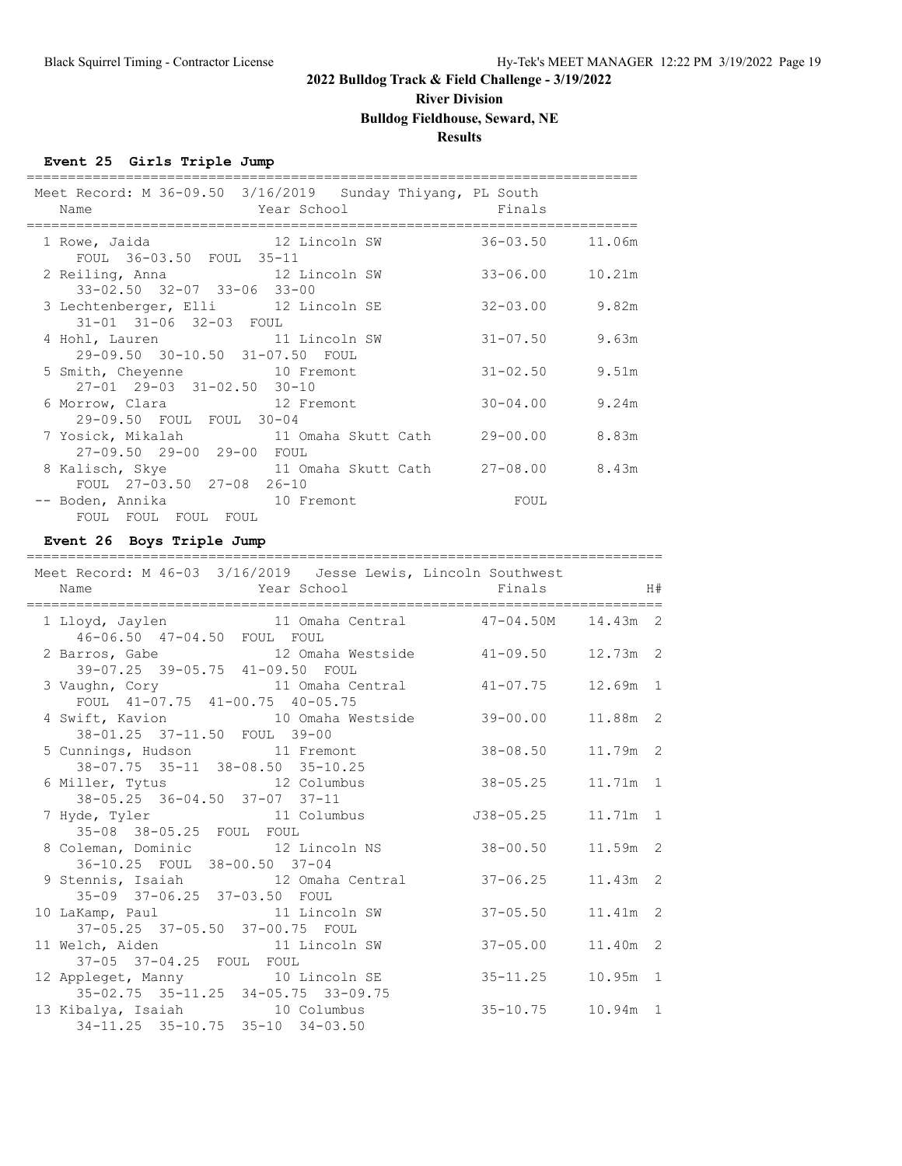# **River Division**

#### **Bulldog Fieldhouse, Seward, NE**

#### **Results**

#### **Event 25 Girls Triple Jump**

| Meet Record: M 36-09.50 3/16/2019 Sunday Thiyang, PL South<br>Year School Finals<br>Name                |              |                    |
|---------------------------------------------------------------------------------------------------------|--------------|--------------------|
| 12 Lincoln SW<br>1 Rowe, Jaida<br>FOUL 36-03.50 FOUL 35-11                                              | 36-03.50     | 11.06m             |
| 2 Reiling, Anna 12 Lincoln SW<br>33-02.50 32-07 33-06 33-00                                             | 33-06.00     | 10.21m             |
| 3 Lechtenberger, Elli 12 Lincoln SE<br>31-01 31-06 32-03 FOUL                                           |              | $32 - 03.00$ 9.82m |
| 4 Hohl, Lauren 11 Lincoln SW<br>29-09.50 30-10.50 31-07.50 FOUL                                         | $31 - 07.50$ | 9.63m              |
| 5 Smith, Cheyenne 10 Fremont<br>$27-01$ $29-03$ $31-02.50$ $30-10$                                      |              | $31 - 02.50$ 9.51m |
| 6 Morrow, Clara 12 Fremont<br>29-09.50 FOUL FOUL 30-04                                                  |              | $30 - 04.00$ 9.24m |
| 7 Yosick, Mikalah           11 Omaha Skutt Cath       29-00.00       8.83m<br>27-09.50 29-00 29-00 FOUL |              |                    |
| 8 Kalisch, Skye 11 Omaha Skutt Cath 27-08.00 8.43m<br>FOUL 27-03.50 27-08 26-10                         |              |                    |
| -- Boden, Annika 10 Fremont<br>FOUL FOUL FOUL FOUL                                                      | FOUL         |                    |

#### **Event 26 Boys Triple Jump**

#### ============================================================================= Meet Record: M 46-03 3/16/2019 Jesse Lewis, Lincoln Southwest Name  $Year School$  Finals  $H#$ ============================================================================= 1 Lloyd, Jaylen 11 Omaha Central 47-04.50M 14.43m 2 46-06.50 47-04.50 FOUL FOUL 2 Barros, Gabe 12 Omaha Westside 41-09.50 12.73m 2 39-07.25 39-05.75 41-09.50 FOUL 3 Vaughn, Cory 11 Omaha Central 41-07.75 12.69m 1 FOUL 41-07.75 41-00.75 40-05.75 4 Swift, Kavion 10 Omaha Westside 39-00.00 11.88m 2 38-01.25 37-11.50 FOUL 39-00 5 Cunnings, Hudson 11 Fremont 38-08.50 11.79m 2 38-07.75 35-11 38-08.50 35-10.25 6 Miller, Tytus 12 Columbus 38-05.25 11.71m 1 38-05.25 36-04.50 37-07 37-11 7 Hyde, Tyler 11 Columbus J38-05.25 11.71m 1 35-08 38-05.25 FOUL FOUL 8 Coleman, Dominic 12 Lincoln NS 38-00.50 11.59m 2 36-10.25 FOUL 38-00.50 37-04 9 Stennis, Isaiah 12 Omaha Central 37-06.25 11.43m 2 35-09 37-06.25 37-03.50 FOUL 10 LaKamp, Paul 11 Lincoln SW 37-05.50 11.41m 2 37-05.25 37-05.50 37-00.75 FOUL 11 Welch, Aiden 11 Lincoln SW 37-05.00 11.40m 2 37-05 37-04.25 FOUL FOUL 12 Appleget, Manny 10 Lincoln SE 35-11.25 10.95m 1 35-02.75 35-11.25 34-05.75 33-09.75 13 Kibalya, Isaiah 10 Columbus 35-10.75 10.94m 1 34-11.25 35-10.75 35-10 34-03.50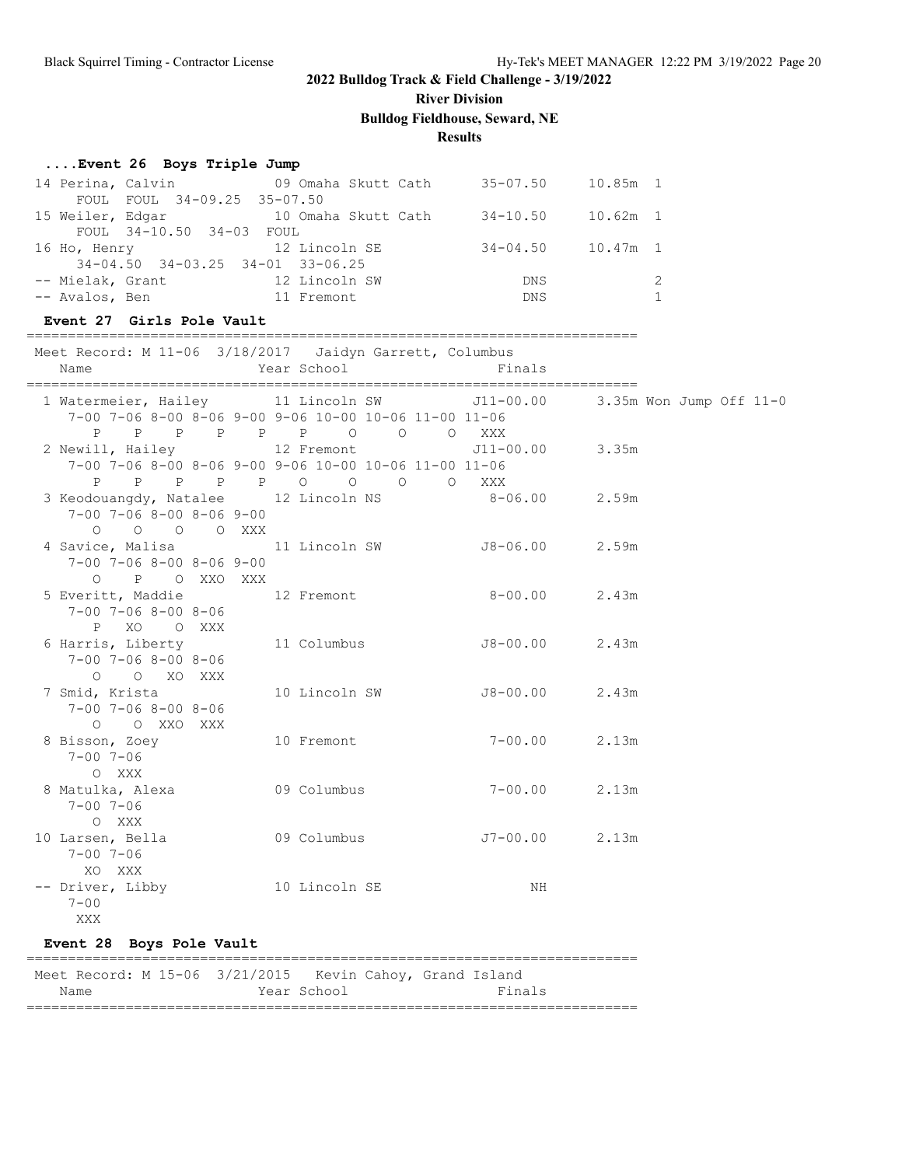**River Division**

**Bulldog Fieldhouse, Seward, NE**

#### **Results**

#### **....Event 26 Boys Triple Jump**

|                  | 14 Perina, Calvin                        | 09 Omaha Skutt Cath | $35 - 07.50$ | 10.85m 1   |               |
|------------------|------------------------------------------|---------------------|--------------|------------|---------------|
|                  | FOUL FOUL 34-09.25 35-07.50              |                     |              |            |               |
| 15 Weiler, Edgar |                                          | 10 Omaha Skutt Cath | $34 - 10.50$ | $10.62m$ 1 |               |
|                  | FOUL 34-10.50 34-03 FOUL                 |                     |              |            |               |
| 16 Ho, Henry     |                                          | 12 Lincoln SE       | $34 - 04.50$ | 10.47m 1   |               |
|                  | $34-04.50$ $34-03.25$ $34-01$ $33-06.25$ |                     |              |            |               |
| -- Mielak, Grant |                                          | 12 Lincoln SW       | <b>DNS</b>   |            | $\mathcal{L}$ |
| -- Avalos, Ben   |                                          | 11 Fremont          | <b>DNS</b>   |            |               |
|                  |                                          |                     |              |            |               |

==========================================================================

#### **Event 27 Girls Pole Vault**

| Meet Record: M 11-06 3/18/2017 Jaidyn Garrett, Columbus<br>Name                                    | Year School                                                                                                   | Finals          |       |
|----------------------------------------------------------------------------------------------------|---------------------------------------------------------------------------------------------------------------|-----------------|-------|
| 1 Watermeier, Hailey 11 Lincoln SW 511-00.00 3.35m Won Jump Off 11-0                               | 7-00 7-06 8-00 8-06 9-00 9-06 10-00 10-06 11-00 11-06<br>P P P P P P O O                                      | O XXX           |       |
| 2 Newill, Hailey 12 Fremont                                                                        | 7-00 7-06 8-00 8-06 9-00 9-06 10-00 10-06 11-00 11-06<br>P P P P P O O O O XXX                                | J11-00.00 3.35m |       |
| 3 Keodouangdy, Natalee 12 Lincoln NS 8-06.00<br>$7-00$ $7-06$ $8-00$ $8-06$ $9-00$<br>0 0 0 0 XXX  |                                                                                                               |                 | 2.59m |
| 4 Savice, Malisa $11$ Lincoln SW $J8-06.00$<br>$7-00$ $7-06$ $8-00$ $8-06$ $9-00$<br>O P O XXO XXX |                                                                                                               |                 | 2.59m |
| 5 Everitt, Maddie $12$ Fremont 8-00.00<br>$7 - 00$ $7 - 06$ $8 - 00$ $8 - 06$<br>P XO O XXX        |                                                                                                               |                 | 2.43m |
| 6 Harris, Liberty<br>$7 - 00$ $7 - 06$ $8 - 00$ $8 - 06$<br>O O XO XXX                             | 11 Columbus J8-00.00                                                                                          |                 | 2.43m |
| 7 Smid, Krista<br>$7 - 00$ $7 - 06$ $8 - 00$ $8 - 06$<br>O O XXO XXX                               | 10 Lincoln SW 58-00.00                                                                                        |                 | 2.43m |
| 8 Bisson, Zoey<br>$7 - 00$ $7 - 06$<br>O XXX                                                       | 10 Fremont and the state of the state of the state of the state of the state of the state of the state of the | $7 - 00.00$     | 2.13m |
| 8 Matulka, Alexa 69 Columbus<br>$7 - 00$ $7 - 06$<br>O XXX                                         |                                                                                                               | $7 - 00.00$     | 2.13m |
| $7 - 00$ $7 - 06$<br>XO XXX                                                                        |                                                                                                               |                 | 2.13m |
| -- Driver, Libby 10 Lincoln SE<br>$7 - 00$<br>XXX                                                  |                                                                                                               | NH              |       |
| Event 28 Boys Pole Vault                                                                           |                                                                                                               |                 |       |

#### ========================================================================== Meet Record: M 15-06 3/21/2015 Kevin Cahoy, Grand Island

| Name | Year<br>ᆂᆓ<br>ີ | 耳主<br>na |
|------|-----------------|----------|
|      |                 |          |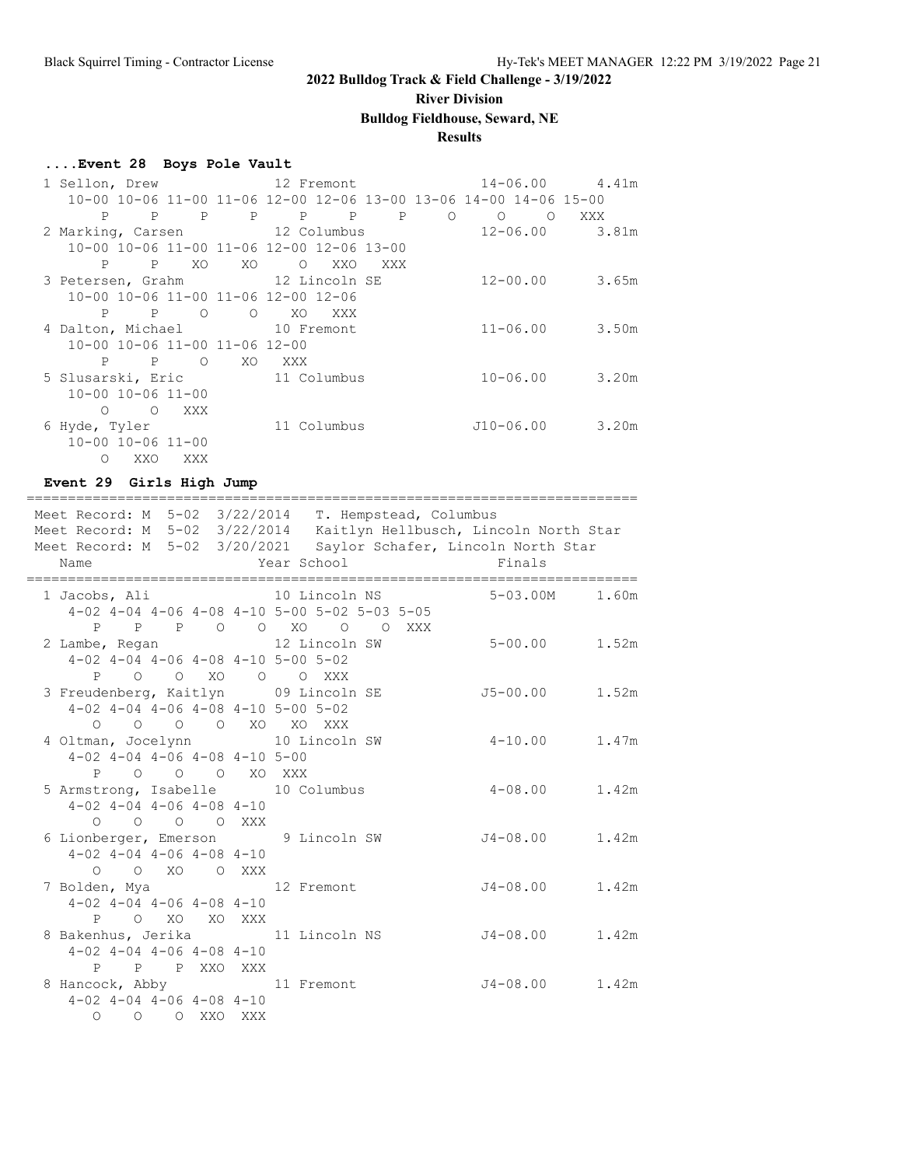# **River Division**

# **Bulldog Fieldhouse, Seward, NE**

### **Results**

### **....Event 28 Boys Pole Vault**

| 1 Sellon, Drew                  |              |                                           |             |                   | 12 Fremont        |                        |         |                                                                   |              | $14 - 06.00$ 4.41m |       |
|---------------------------------|--------------|-------------------------------------------|-------------|-------------------|-------------------|------------------------|---------|-------------------------------------------------------------------|--------------|--------------------|-------|
|                                 |              |                                           |             |                   |                   |                        |         | 10-00 10-06 11-00 11-06 12-00 12-06 13-00 13-06 14-00 14-06 15-00 |              |                    |       |
| P                               | $\mathbf{P}$ | $\mathbf{P}$                              |             | $P \qquad \qquad$ | $P \qquad \qquad$ | $P \qquad \qquad$<br>P | $\circ$ | $\circ$                                                           | $\circ$      | XXX                |       |
| 2 Marking, Carsen 12 Columbus   |              |                                           |             |                   |                   |                        |         |                                                                   | $12 - 06.00$ |                    | 3.81m |
|                                 |              | 10-00 10-06 11-00 11-06 12-00 12-06 13-00 |             |                   |                   |                        |         |                                                                   |              |                    |       |
| P                               |              | P<br>XO.                                  | XO          |                   | $\circ$<br>XXO    | XXX                    |         |                                                                   |              |                    |       |
| 3 Petersen, Grahm 12 Lincoln SE |              |                                           |             |                   |                   |                        |         |                                                                   | $12 - 00.00$ |                    | 3.65m |
|                                 |              | 10-00 10-06 11-00 11-06 12-00 12-06       |             |                   |                   |                        |         |                                                                   |              |                    |       |
| P                               | $\mathbf P$  | $\circ$                                   | $\circ$     | XO                | XXX               |                        |         |                                                                   |              |                    |       |
| 4 Dalton, Michael 10 Fremont    |              |                                           |             |                   |                   |                        |         |                                                                   | $11 - 06.00$ |                    | 3.50m |
|                                 |              | 10-00 10-06 11-00 11-06 12-00             |             |                   |                   |                        |         |                                                                   |              |                    |       |
| P                               | P            | $\Omega$                                  | XO.         | XXX X             |                   |                        |         |                                                                   |              |                    |       |
| 5 Slusarski, Eric               |              |                                           | 11 Columbus |                   |                   |                        |         |                                                                   | $10 - 06.00$ |                    | 3.20m |
| $10 - 00$ $10 - 06$ $11 - 00$   |              |                                           |             |                   |                   |                        |         |                                                                   |              |                    |       |
| $\Omega$                        | $\Omega$     | XXX                                       |             |                   |                   |                        |         |                                                                   |              |                    |       |
| 6 Hyde, Tyler                   |              |                                           |             |                   | 11 Columbus       |                        |         | $J10-06.00$                                                       |              |                    | 3.20m |
| $10 - 00$ $10 - 06$ $11 - 00$   |              |                                           |             |                   |                   |                        |         |                                                                   |              |                    |       |
| $\circ$                         | XXO          | XXX                                       |             |                   |                   |                        |         |                                                                   |              |                    |       |

### **Event 29 Girls High Jump**

| Meet Record: M 5-02 3/22/2014 T. Hempstead, Columbus<br>Meet Record: M 5-02 3/22/2014 Kaitlyn Hellbusch, Lincoln North Star<br>Meet Record: M 5-02 3/20/2021 Saylor Schafer, Lincoln North Star |  |               |  |                |                                                                                                               |                   |       |
|-------------------------------------------------------------------------------------------------------------------------------------------------------------------------------------------------|--|---------------|--|----------------|---------------------------------------------------------------------------------------------------------------|-------------------|-------|
| Name                                                                                                                                                                                            |  |               |  |                | Year School                                                                                                   | Finals            |       |
|                                                                                                                                                                                                 |  |               |  |                | $4-02$ $4-04$ $4-06$ $4-08$ $4-10$ $5-00$ $5-02$ $5-03$ $5-05$<br>P P P O O XO O O XXX                        | 5-03.00M          | 1.60m |
|                                                                                                                                                                                                 |  |               |  |                | 2 Lambe, Regan 12 Lincoln SW<br>$4-02$ $4-04$ $4-06$ $4-08$ $4-10$ $5-00$ $5-02$<br>P O O XO O O XXX          | $5 - 00.00$ 1.52m |       |
|                                                                                                                                                                                                 |  |               |  |                | 3 Freudenberg, Kaitlyn 09 Lincoln SE<br>$4-02$ $4-04$ $4-06$ $4-08$ $4-10$ $5-00$ $5-02$<br>0 0 0 0 XO XO XXX | $J5-00.00$ 1.52m  |       |
| $4-02$ $4-04$ $4-06$ $4-08$ $4-10$ $5-00$                                                                                                                                                       |  |               |  | P O O O XO XXX | 4 Oltman, Jocelynn 10 Lincoln SW                                                                              | $4 - 10.00$ 1.47m |       |
| $4-02$ $4-04$ $4-06$ $4-08$ $4-10$                                                                                                                                                              |  | 0 0 0 0 XXX   |  |                | 5 Armstrong, Isabelle 10 Columbus                                                                             | $4 - 08.00$ 1.42m |       |
| $4-02$ $4-04$ $4-06$ $4-08$ $4-10$                                                                                                                                                              |  |               |  | O O XO O XXX   | 6 Lionberger, Emerson 9 Lincoln SW                                                                            | $J4-08.00$ 1.42m  |       |
| $4-02$ $4-04$ $4-06$ $4-08$ $4-10$                                                                                                                                                              |  | P O XO XO XXX |  |                | 7 Bolden, Mya 12 Fremont                                                                                      | $J4 - 08.00$      | 1.42m |
| $4-02$ $4-04$ $4-06$ $4-08$ $4-10$                                                                                                                                                              |  |               |  | P P P XXO XXX  | 8 Bakenhus, Jerika 11 Lincoln NS                                                                              | $J4-08.00$ 1.42m  |       |
| $4-02$ $4-04$ $4-06$ $4-08$ $4-10$                                                                                                                                                              |  | O O O XXO XXX |  |                | 8 Hancock, Abby 11 Fremont                                                                                    | $J4-08.00$ 1.42m  |       |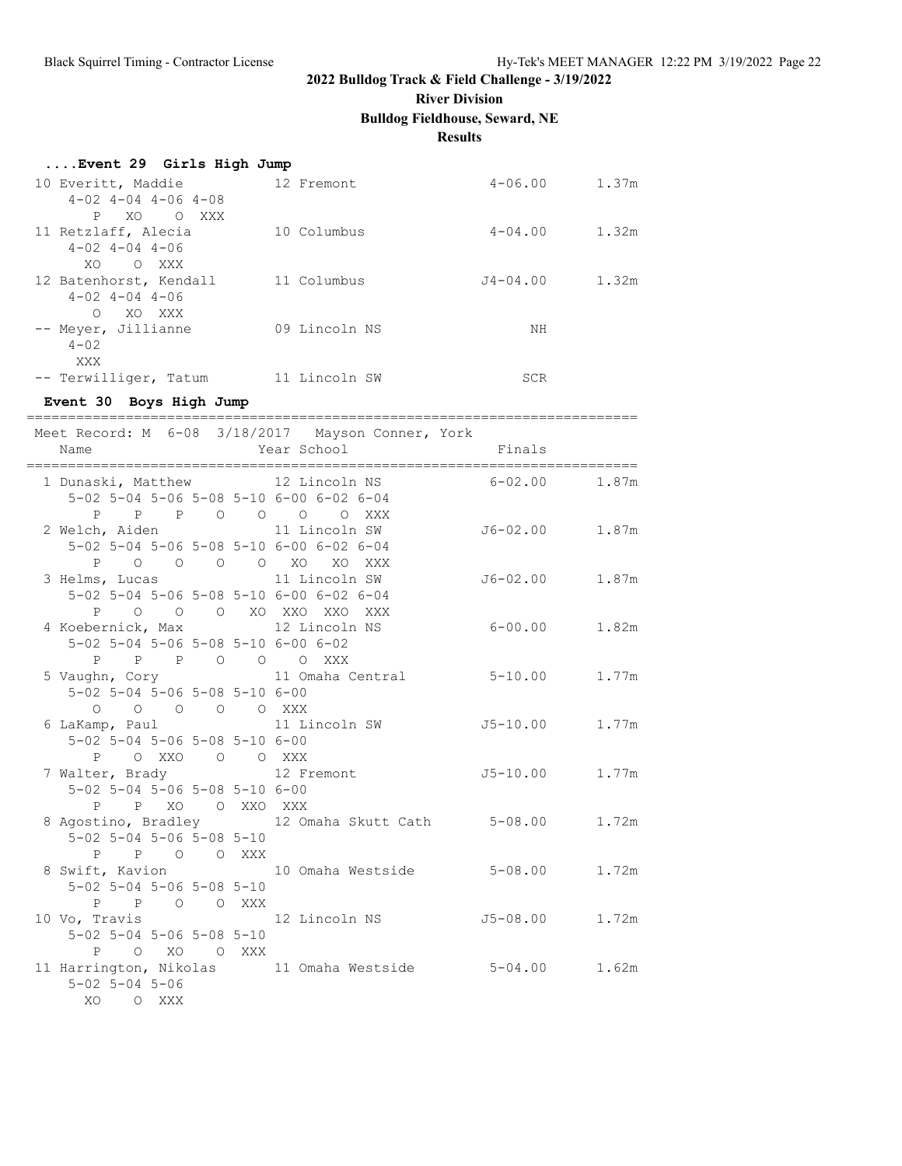**River Division**

**Bulldog Fieldhouse, Seward, NE**

#### **Results**

| Event 29 Girls High Jump    |               |             |       |
|-----------------------------|---------------|-------------|-------|
| 10 Everitt, Maddie          | 12 Fremont    | $4 - 06.00$ | 1.37m |
| $4-02$ $4-04$ $4-06$ $4-08$ |               |             |       |
| P.<br>XO<br>O XXX           |               |             |       |
| 11 Retzlaff, Alecia         | 10 Columbus   | $4 - 04.00$ | 1.32m |
| $4 - 02$ $4 - 04$ $4 - 06$  |               |             |       |
| XO.<br>O XXX                |               |             |       |
| 12 Batenhorst, Kendall      | 11 Columbus   | J4-04.00    | 1.32m |
| $4 - 02$ $4 - 04$ $4 - 06$  |               |             |       |
| $\Omega$<br>XO XXX          |               |             |       |
| -- Meyer, Jillianne         | 09 Lincoln NS | ΝH          |       |
| $4 - 02$                    |               |             |       |
| XXX                         |               |             |       |
| -- Terwilliger, Tatum       | 11 Lincoln SW | SCR         |       |

#### **Event 30 Boys High Jump**

========================================================================== Meet Record: M 6-08 3/18/2017 Mayson Conner, York

|                                    |                  | MEEL VECOIU, M. 0-00 0/10/201/ MaySON CONNET, IOIN |                  |       |
|------------------------------------|------------------|----------------------------------------------------|------------------|-------|
|                                    |                  | 1 Dunaski, Matthew 12 Lincoln NS 6-02.00           |                  | 1.87m |
|                                    |                  | 5-02 5-04 5-06 5-08 5-10 6-00 6-02 6-04            |                  |       |
|                                    |                  | P P P O O O O XXX                                  |                  |       |
|                                    |                  | 2 Welch, Aiden 11 Lincoln SW                       | J6-02.00 1.87m   |       |
|                                    |                  | 5-02 5-04 5-06 5-08 5-10 6-00 6-02 6-04            |                  |       |
|                                    |                  | P O O O O XO XO XXX                                |                  |       |
|                                    |                  | 3 Helms, Lucas 11 Lincoln SW                       | J6-02.00 1.87m   |       |
|                                    |                  | 5-02 5-04 5-06 5-08 5-10 6-00 6-02 6-04            |                  |       |
|                                    |                  | P O O O XO XXO XXO XXX                             |                  |       |
|                                    |                  | 4 Koebernick, Max 12 Lincoln NS                    | $6 - 00.00$      | 1.82m |
|                                    |                  | 5-02 5-04 5-06 5-08 5-10 6-00 6-02                 |                  |       |
|                                    |                  | P P P O O O XXX                                    |                  |       |
|                                    |                  | 5 Vaughn, Cory 11 Omaha Central 5-10.00            |                  | 1.77m |
| 5-02 5-04 5-06 5-08 5-10 6-00      |                  |                                                    |                  |       |
|                                    | 0 0 0 0 0 XXX    |                                                    |                  |       |
|                                    |                  | 6 LaKamp, Paul 11 Lincoln SW                       | $J5-10.00$ 1.77m |       |
| 5-02 5-04 5-06 5-08 5-10 6-00      |                  |                                                    |                  |       |
|                                    | P OXXO O OXXX    |                                                    |                  |       |
|                                    |                  | 7 Walter, Brady 12 Fremont                         | $J5-10.00$ 1.77m |       |
| 5-02 5-04 5-06 5-08 5-10 6-00      |                  |                                                    |                  |       |
|                                    | P P XO O XXO XXX |                                                    |                  |       |
|                                    |                  | 8 Agostino, Bradley 12 Omaha Skutt Cath 5-08.00    |                  | 1.72m |
| $5-02$ $5-04$ $5-06$ $5-08$ $5-10$ |                  |                                                    |                  |       |
|                                    | P P O O XXX      |                                                    |                  |       |
|                                    |                  | 8 Swift, Kavion 10 Omaha Westside 5-08.00 1.72m    |                  |       |
| $5-02$ $5-04$ $5-06$ $5-08$ $5-10$ |                  |                                                    |                  |       |
|                                    | P P O O XXX      |                                                    |                  |       |
| $5-02$ $5-04$ $5-06$ $5-08$ $5-10$ |                  |                                                    |                  | 1.72m |
|                                    | P O XO O XXX     |                                                    |                  |       |
|                                    |                  | 11 Harrington, Nikolas 11 Omaha Westside 5-04.00   |                  | 1.62m |
| $5 - 02$ $5 - 04$ $5 - 06$         |                  |                                                    |                  |       |
| XO OXXX                            |                  |                                                    |                  |       |
|                                    |                  |                                                    |                  |       |